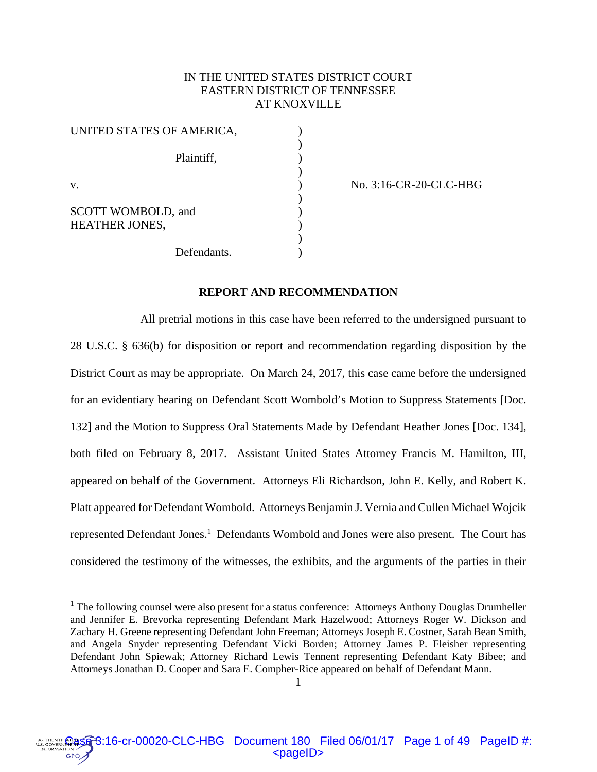# IN THE UNITED STATES DISTRICT COURT EASTERN DISTRICT OF TENNESSEE AT KNOXVILLE

| UNITED STATES OF AMERICA,                   |  |
|---------------------------------------------|--|
| Plaintiff,                                  |  |
| V.                                          |  |
| SCOTT WOMBOLD, and<br><b>HEATHER JONES,</b> |  |
| Defendants.                                 |  |

 $\overline{a}$ 

v. ) No. 3:16-CR-20-CLC-HBG

## **REPORT AND RECOMMENDATION**

 All pretrial motions in this case have been referred to the undersigned pursuant to 28 U.S.C. § 636(b) for disposition or report and recommendation regarding disposition by the District Court as may be appropriate. On March 24, 2017, this case came before the undersigned for an evidentiary hearing on Defendant Scott Wombold's Motion to Suppress Statements [Doc. 132] and the Motion to Suppress Oral Statements Made by Defendant Heather Jones [Doc. 134], both filed on February 8, 2017. Assistant United States Attorney Francis M. Hamilton, III, appeared on behalf of the Government. Attorneys Eli Richardson, John E. Kelly, and Robert K. Platt appeared for Defendant Wombold. Attorneys Benjamin J. Vernia and Cullen Michael Wojcik represented Defendant Jones.<sup>1</sup> Defendants Wombold and Jones were also present. The Court has considered the testimony of the witnesses, the exhibits, and the arguments of the parties in their



<sup>&</sup>lt;sup>1</sup> The following counsel were also present for a status conference: Attorneys Anthony Douglas Drumheller and Jennifer E. Brevorka representing Defendant Mark Hazelwood; Attorneys Roger W. Dickson and Zachary H. Greene representing Defendant John Freeman; Attorneys Joseph E. Costner, Sarah Bean Smith, and Angela Snyder representing Defendant Vicki Borden; Attorney James P. Fleisher representing Defendant John Spiewak; Attorney Richard Lewis Tennent representing Defendant Katy Bibee; and Attorneys Jonathan D. Cooper and Sara E. Compher-Rice appeared on behalf of Defendant Mann.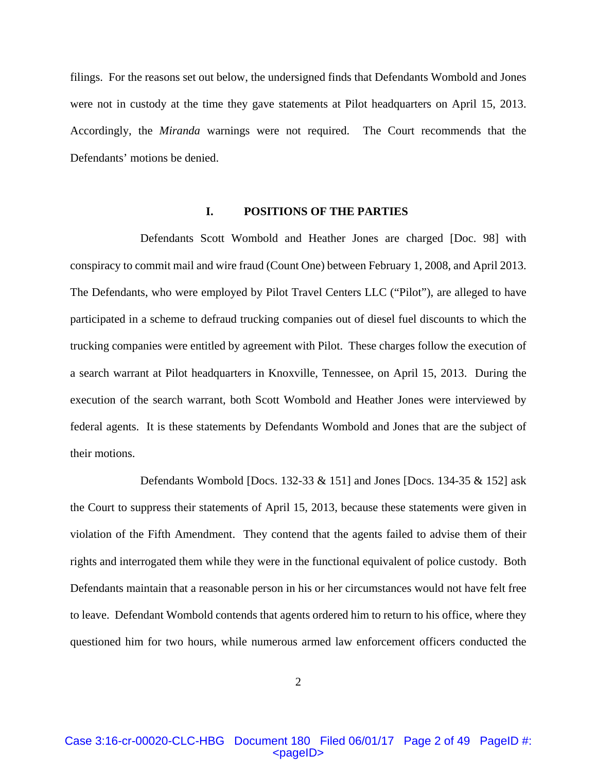filings. For the reasons set out below, the undersigned finds that Defendants Wombold and Jones were not in custody at the time they gave statements at Pilot headquarters on April 15, 2013. Accordingly, the *Miranda* warnings were not required. The Court recommends that the Defendants' motions be denied.

## **I. POSITIONS OF THE PARTIES**

 Defendants Scott Wombold and Heather Jones are charged [Doc. 98] with conspiracy to commit mail and wire fraud (Count One) between February 1, 2008, and April 2013. The Defendants, who were employed by Pilot Travel Centers LLC ("Pilot"), are alleged to have participated in a scheme to defraud trucking companies out of diesel fuel discounts to which the trucking companies were entitled by agreement with Pilot. These charges follow the execution of a search warrant at Pilot headquarters in Knoxville, Tennessee, on April 15, 2013. During the execution of the search warrant, both Scott Wombold and Heather Jones were interviewed by federal agents. It is these statements by Defendants Wombold and Jones that are the subject of their motions.

Defendants Wombold [Docs. 132-33  $\&$  151] and Jones [Docs. 134-35  $\&$  152] ask the Court to suppress their statements of April 15, 2013, because these statements were given in violation of the Fifth Amendment. They contend that the agents failed to advise them of their rights and interrogated them while they were in the functional equivalent of police custody. Both Defendants maintain that a reasonable person in his or her circumstances would not have felt free to leave. Defendant Wombold contends that agents ordered him to return to his office, where they questioned him for two hours, while numerous armed law enforcement officers conducted the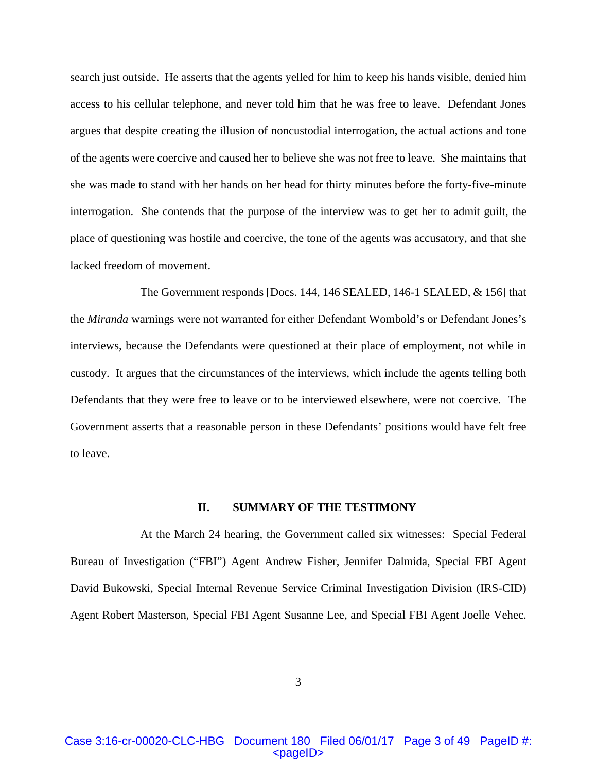search just outside. He asserts that the agents yelled for him to keep his hands visible, denied him access to his cellular telephone, and never told him that he was free to leave. Defendant Jones argues that despite creating the illusion of noncustodial interrogation, the actual actions and tone of the agents were coercive and caused her to believe she was not free to leave. She maintains that she was made to stand with her hands on her head for thirty minutes before the forty-five-minute interrogation. She contends that the purpose of the interview was to get her to admit guilt, the place of questioning was hostile and coercive, the tone of the agents was accusatory, and that she lacked freedom of movement.

 The Government responds [Docs. 144, 146 SEALED, 146-1 SEALED, & 156] that the *Miranda* warnings were not warranted for either Defendant Wombold's or Defendant Jones's interviews, because the Defendants were questioned at their place of employment, not while in custody. It argues that the circumstances of the interviews, which include the agents telling both Defendants that they were free to leave or to be interviewed elsewhere, were not coercive. The Government asserts that a reasonable person in these Defendants' positions would have felt free to leave.

#### **II. SUMMARY OF THE TESTIMONY**

 At the March 24 hearing, the Government called six witnesses: Special Federal Bureau of Investigation ("FBI") Agent Andrew Fisher, Jennifer Dalmida, Special FBI Agent David Bukowski, Special Internal Revenue Service Criminal Investigation Division (IRS-CID) Agent Robert Masterson, Special FBI Agent Susanne Lee, and Special FBI Agent Joelle Vehec.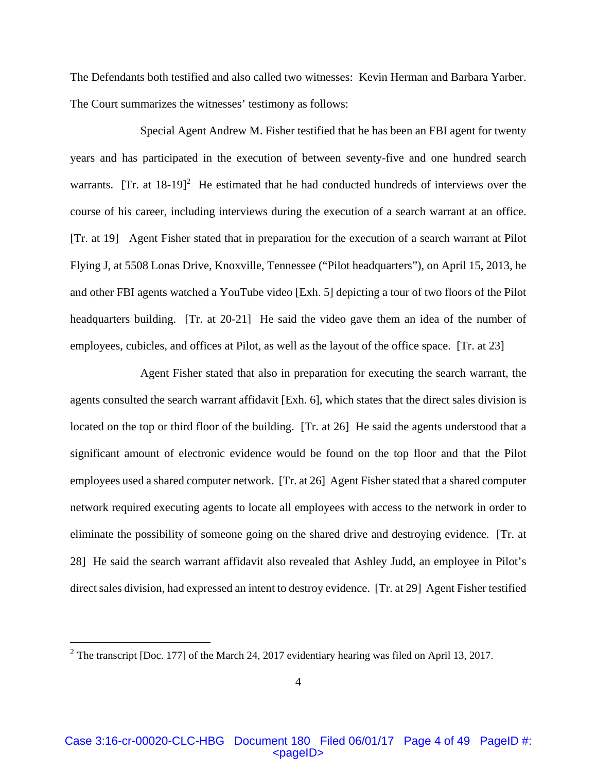The Defendants both testified and also called two witnesses: Kevin Herman and Barbara Yarber. The Court summarizes the witnesses' testimony as follows:

 Special Agent Andrew M. Fisher testified that he has been an FBI agent for twenty years and has participated in the execution of between seventy-five and one hundred search warrants. [Tr. at  $18-19$ ]<sup>2</sup> He estimated that he had conducted hundreds of interviews over the course of his career, including interviews during the execution of a search warrant at an office. [Tr. at 19] Agent Fisher stated that in preparation for the execution of a search warrant at Pilot Flying J, at 5508 Lonas Drive, Knoxville, Tennessee ("Pilot headquarters"), on April 15, 2013, he and other FBI agents watched a YouTube video [Exh. 5] depicting a tour of two floors of the Pilot headquarters building. [Tr. at 20-21] He said the video gave them an idea of the number of employees, cubicles, and offices at Pilot, as well as the layout of the office space. [Tr. at 23]

 Agent Fisher stated that also in preparation for executing the search warrant, the agents consulted the search warrant affidavit [Exh. 6], which states that the direct sales division is located on the top or third floor of the building. [Tr. at 26] He said the agents understood that a significant amount of electronic evidence would be found on the top floor and that the Pilot employees used a shared computer network. [Tr. at 26] Agent Fisher stated that a shared computer network required executing agents to locate all employees with access to the network in order to eliminate the possibility of someone going on the shared drive and destroying evidence. [Tr. at 28] He said the search warrant affidavit also revealed that Ashley Judd, an employee in Pilot's direct sales division, had expressed an intent to destroy evidence. [Tr. at 29] Agent Fisher testified

1

<sup>&</sup>lt;sup>2</sup> The transcript [Doc. 177] of the March 24, 2017 evidentiary hearing was filed on April 13, 2017.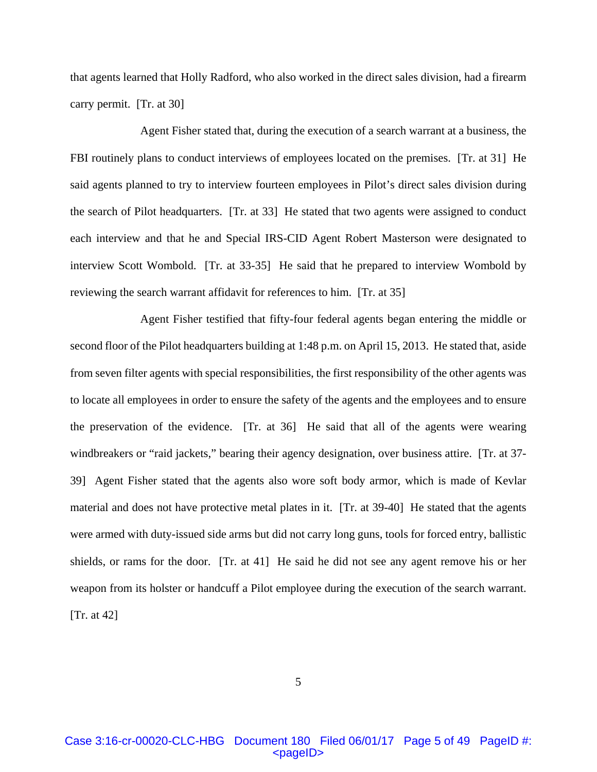that agents learned that Holly Radford, who also worked in the direct sales division, had a firearm carry permit. [Tr. at 30]

 Agent Fisher stated that, during the execution of a search warrant at a business, the FBI routinely plans to conduct interviews of employees located on the premises. [Tr. at 31] He said agents planned to try to interview fourteen employees in Pilot's direct sales division during the search of Pilot headquarters. [Tr. at 33] He stated that two agents were assigned to conduct each interview and that he and Special IRS-CID Agent Robert Masterson were designated to interview Scott Wombold. [Tr. at 33-35] He said that he prepared to interview Wombold by reviewing the search warrant affidavit for references to him. [Tr. at 35]

 Agent Fisher testified that fifty-four federal agents began entering the middle or second floor of the Pilot headquarters building at 1:48 p.m. on April 15, 2013. He stated that, aside from seven filter agents with special responsibilities, the first responsibility of the other agents was to locate all employees in order to ensure the safety of the agents and the employees and to ensure the preservation of the evidence. [Tr. at 36] He said that all of the agents were wearing windbreakers or "raid jackets," bearing their agency designation, over business attire. [Tr. at 37- 39] Agent Fisher stated that the agents also wore soft body armor, which is made of Kevlar material and does not have protective metal plates in it. [Tr. at 39-40] He stated that the agents were armed with duty-issued side arms but did not carry long guns, tools for forced entry, ballistic shields, or rams for the door. [Tr. at 41] He said he did not see any agent remove his or her weapon from its holster or handcuff a Pilot employee during the execution of the search warrant. [Tr. at 42]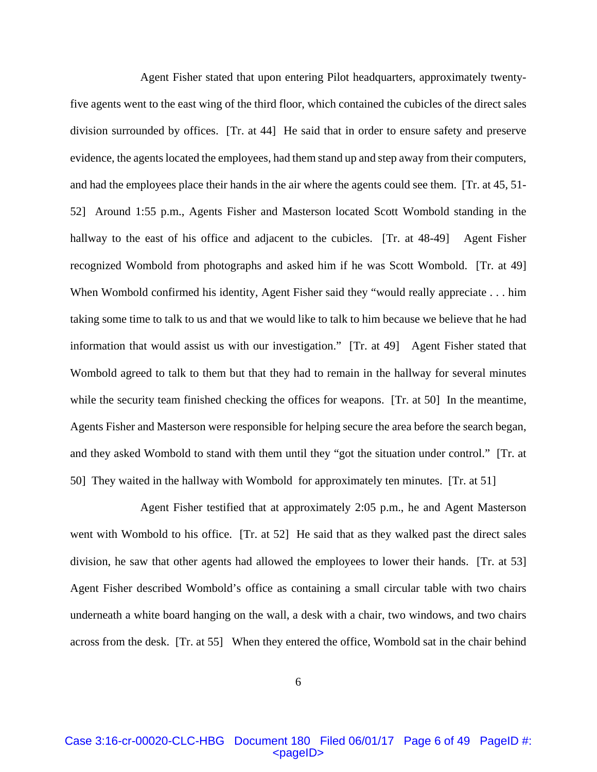Agent Fisher stated that upon entering Pilot headquarters, approximately twentyfive agents went to the east wing of the third floor, which contained the cubicles of the direct sales division surrounded by offices. [Tr. at 44] He said that in order to ensure safety and preserve evidence, the agents located the employees, had them stand up and step away from their computers, and had the employees place their hands in the air where the agents could see them. [Tr. at 45, 51- 52] Around 1:55 p.m., Agents Fisher and Masterson located Scott Wombold standing in the hallway to the east of his office and adjacent to the cubicles. [Tr. at 48-49] Agent Fisher recognized Wombold from photographs and asked him if he was Scott Wombold. [Tr. at 49] When Wombold confirmed his identity, Agent Fisher said they "would really appreciate . . . him taking some time to talk to us and that we would like to talk to him because we believe that he had information that would assist us with our investigation." [Tr. at 49] Agent Fisher stated that Wombold agreed to talk to them but that they had to remain in the hallway for several minutes while the security team finished checking the offices for weapons. [Tr. at 50] In the meantime, Agents Fisher and Masterson were responsible for helping secure the area before the search began, and they asked Wombold to stand with them until they "got the situation under control." [Tr. at 50] They waited in the hallway with Wombold for approximately ten minutes. [Tr. at 51]

 Agent Fisher testified that at approximately 2:05 p.m., he and Agent Masterson went with Wombold to his office. [Tr. at 52] He said that as they walked past the direct sales division, he saw that other agents had allowed the employees to lower their hands. [Tr. at 53] Agent Fisher described Wombold's office as containing a small circular table with two chairs underneath a white board hanging on the wall, a desk with a chair, two windows, and two chairs across from the desk. [Tr. at 55] When they entered the office, Wombold sat in the chair behind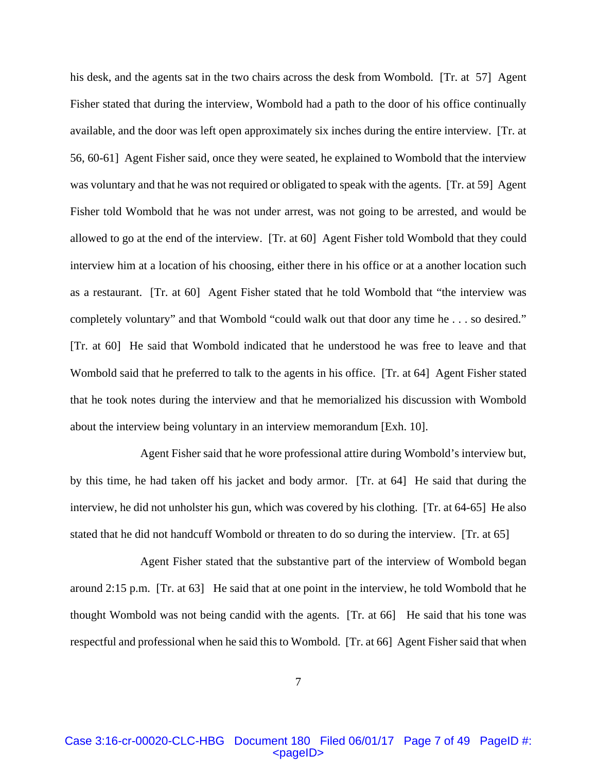his desk, and the agents sat in the two chairs across the desk from Wombold. [Tr. at 57] Agent Fisher stated that during the interview, Wombold had a path to the door of his office continually available, and the door was left open approximately six inches during the entire interview. [Tr. at 56, 60-61] Agent Fisher said, once they were seated, he explained to Wombold that the interview was voluntary and that he was not required or obligated to speak with the agents. [Tr. at 59] Agent Fisher told Wombold that he was not under arrest, was not going to be arrested, and would be allowed to go at the end of the interview. [Tr. at 60] Agent Fisher told Wombold that they could interview him at a location of his choosing, either there in his office or at a another location such as a restaurant. [Tr. at 60] Agent Fisher stated that he told Wombold that "the interview was completely voluntary" and that Wombold "could walk out that door any time he . . . so desired." [Tr. at 60] He said that Wombold indicated that he understood he was free to leave and that Wombold said that he preferred to talk to the agents in his office. [Tr. at 64] Agent Fisher stated that he took notes during the interview and that he memorialized his discussion with Wombold about the interview being voluntary in an interview memorandum [Exh. 10].

 Agent Fisher said that he wore professional attire during Wombold's interview but, by this time, he had taken off his jacket and body armor. [Tr. at 64] He said that during the interview, he did not unholster his gun, which was covered by his clothing. [Tr. at 64-65] He also stated that he did not handcuff Wombold or threaten to do so during the interview. [Tr. at 65]

 Agent Fisher stated that the substantive part of the interview of Wombold began around 2:15 p.m. [Tr. at 63] He said that at one point in the interview, he told Wombold that he thought Wombold was not being candid with the agents. [Tr. at 66] He said that his tone was respectful and professional when he said this to Wombold. [Tr. at 66] Agent Fisher said that when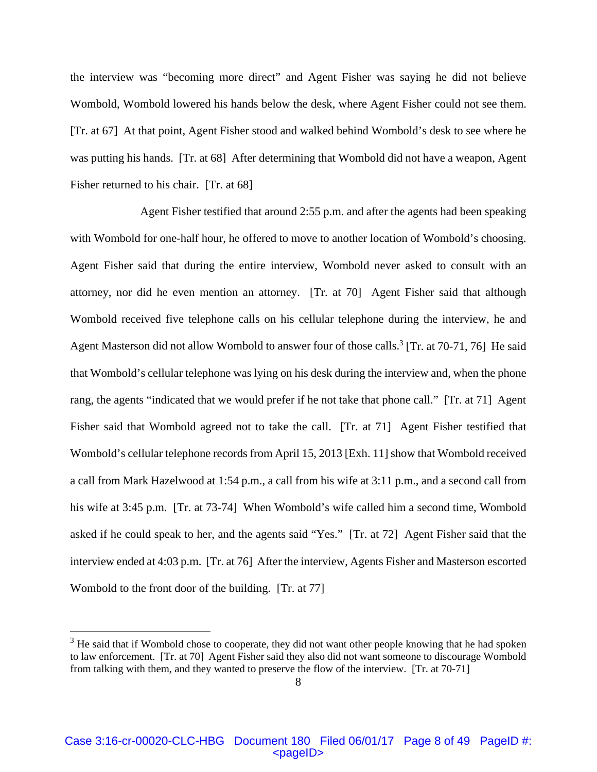the interview was "becoming more direct" and Agent Fisher was saying he did not believe Wombold, Wombold lowered his hands below the desk, where Agent Fisher could not see them. [Tr. at 67] At that point, Agent Fisher stood and walked behind Wombold's desk to see where he was putting his hands. [Tr. at 68] After determining that Wombold did not have a weapon, Agent Fisher returned to his chair. [Tr. at 68]

 Agent Fisher testified that around 2:55 p.m. and after the agents had been speaking with Wombold for one-half hour, he offered to move to another location of Wombold's choosing. Agent Fisher said that during the entire interview, Wombold never asked to consult with an attorney, nor did he even mention an attorney. [Tr. at 70] Agent Fisher said that although Wombold received five telephone calls on his cellular telephone during the interview, he and Agent Masterson did not allow Wombold to answer four of those calls.<sup>3</sup> [Tr. at 70-71, 76] He said that Wombold's cellular telephone was lying on his desk during the interview and, when the phone rang, the agents "indicated that we would prefer if he not take that phone call." [Tr. at 71] Agent Fisher said that Wombold agreed not to take the call. [Tr. at 71] Agent Fisher testified that Wombold's cellular telephone records from April 15, 2013 [Exh. 11] show that Wombold received a call from Mark Hazelwood at 1:54 p.m., a call from his wife at 3:11 p.m., and a second call from his wife at 3:45 p.m. [Tr. at 73-74] When Wombold's wife called him a second time, Wombold asked if he could speak to her, and the agents said "Yes." [Tr. at 72] Agent Fisher said that the interview ended at 4:03 p.m. [Tr. at 76] After the interview, Agents Fisher and Masterson escorted Wombold to the front door of the building. [Tr. at 77]

 $\overline{a}$ 

 $3$  He said that if Wombold chose to cooperate, they did not want other people knowing that he had spoken to law enforcement. [Tr. at 70] Agent Fisher said they also did not want someone to discourage Wombold from talking with them, and they wanted to preserve the flow of the interview. [Tr. at 70-71]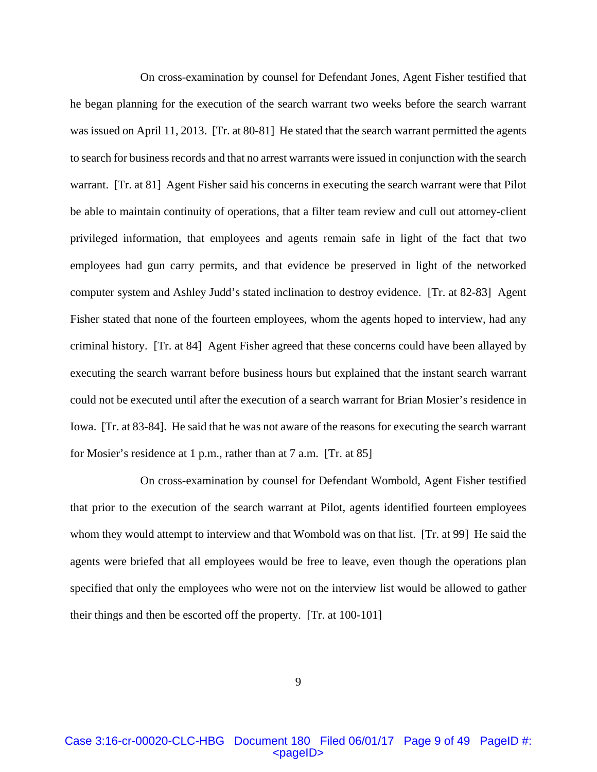On cross-examination by counsel for Defendant Jones, Agent Fisher testified that he began planning for the execution of the search warrant two weeks before the search warrant was issued on April 11, 2013. [Tr. at 80-81] He stated that the search warrant permitted the agents to search for business records and that no arrest warrants were issued in conjunction with the search warrant. [Tr. at 81] Agent Fisher said his concerns in executing the search warrant were that Pilot be able to maintain continuity of operations, that a filter team review and cull out attorney-client privileged information, that employees and agents remain safe in light of the fact that two employees had gun carry permits, and that evidence be preserved in light of the networked computer system and Ashley Judd's stated inclination to destroy evidence. [Tr. at 82-83] Agent Fisher stated that none of the fourteen employees, whom the agents hoped to interview, had any criminal history. [Tr. at 84] Agent Fisher agreed that these concerns could have been allayed by executing the search warrant before business hours but explained that the instant search warrant could not be executed until after the execution of a search warrant for Brian Mosier's residence in Iowa. [Tr. at 83-84]. He said that he was not aware of the reasons for executing the search warrant for Mosier's residence at 1 p.m., rather than at 7 a.m. [Tr. at 85]

 On cross-examination by counsel for Defendant Wombold, Agent Fisher testified that prior to the execution of the search warrant at Pilot, agents identified fourteen employees whom they would attempt to interview and that Wombold was on that list. [Tr. at 99] He said the agents were briefed that all employees would be free to leave, even though the operations plan specified that only the employees who were not on the interview list would be allowed to gather their things and then be escorted off the property. [Tr. at 100-101]

9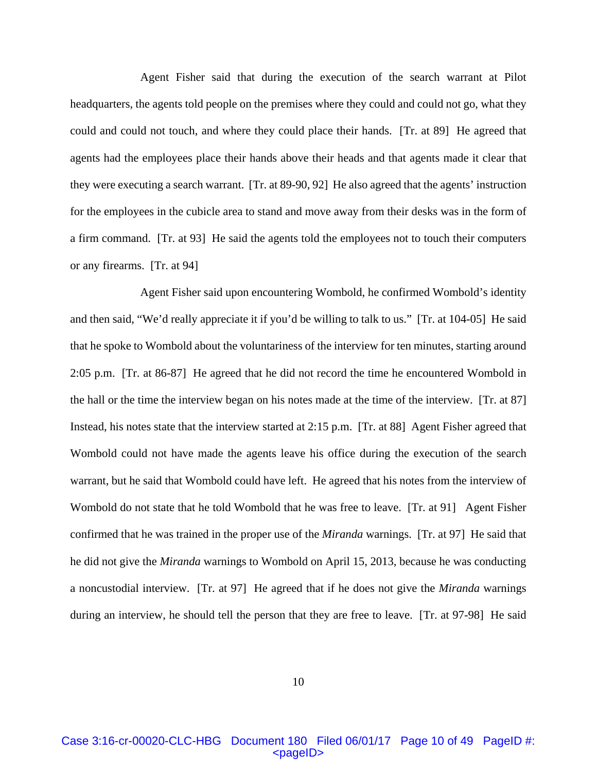Agent Fisher said that during the execution of the search warrant at Pilot headquarters, the agents told people on the premises where they could and could not go, what they could and could not touch, and where they could place their hands. [Tr. at 89] He agreed that agents had the employees place their hands above their heads and that agents made it clear that they were executing a search warrant. [Tr. at 89-90, 92] He also agreed that the agents' instruction for the employees in the cubicle area to stand and move away from their desks was in the form of a firm command. [Tr. at 93] He said the agents told the employees not to touch their computers or any firearms. [Tr. at 94]

 Agent Fisher said upon encountering Wombold, he confirmed Wombold's identity and then said, "We'd really appreciate it if you'd be willing to talk to us." [Tr. at 104-05] He said that he spoke to Wombold about the voluntariness of the interview for ten minutes, starting around 2:05 p.m. [Tr. at 86-87] He agreed that he did not record the time he encountered Wombold in the hall or the time the interview began on his notes made at the time of the interview. [Tr. at 87] Instead, his notes state that the interview started at 2:15 p.m. [Tr. at 88] Agent Fisher agreed that Wombold could not have made the agents leave his office during the execution of the search warrant, but he said that Wombold could have left. He agreed that his notes from the interview of Wombold do not state that he told Wombold that he was free to leave. [Tr. at 91] Agent Fisher confirmed that he was trained in the proper use of the *Miranda* warnings. [Tr. at 97] He said that he did not give the *Miranda* warnings to Wombold on April 15, 2013, because he was conducting a noncustodial interview. [Tr. at 97] He agreed that if he does not give the *Miranda* warnings during an interview, he should tell the person that they are free to leave. [Tr. at 97-98] He said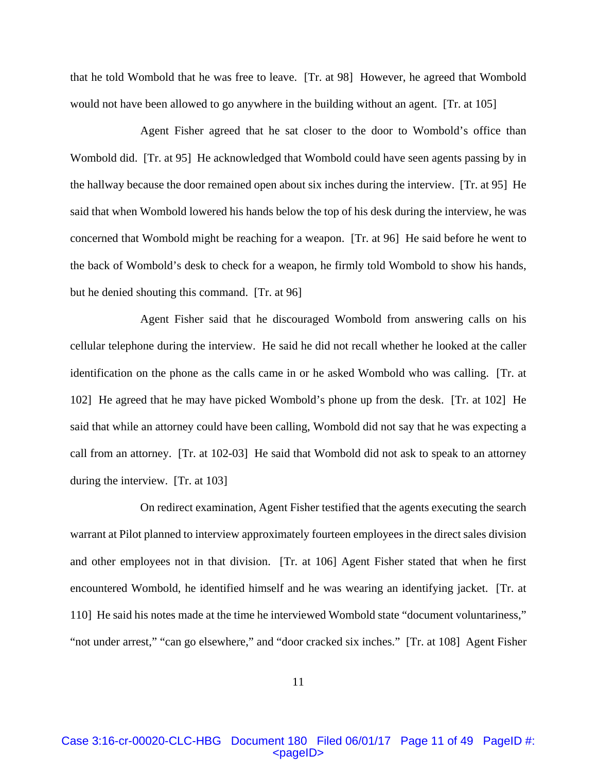that he told Wombold that he was free to leave. [Tr. at 98] However, he agreed that Wombold would not have been allowed to go anywhere in the building without an agent. [Tr. at 105]

 Agent Fisher agreed that he sat closer to the door to Wombold's office than Wombold did. [Tr. at 95] He acknowledged that Wombold could have seen agents passing by in the hallway because the door remained open about six inches during the interview. [Tr. at 95] He said that when Wombold lowered his hands below the top of his desk during the interview, he was concerned that Wombold might be reaching for a weapon. [Tr. at 96] He said before he went to the back of Wombold's desk to check for a weapon, he firmly told Wombold to show his hands, but he denied shouting this command. [Tr. at 96]

 Agent Fisher said that he discouraged Wombold from answering calls on his cellular telephone during the interview. He said he did not recall whether he looked at the caller identification on the phone as the calls came in or he asked Wombold who was calling. [Tr. at 102] He agreed that he may have picked Wombold's phone up from the desk. [Tr. at 102] He said that while an attorney could have been calling, Wombold did not say that he was expecting a call from an attorney. [Tr. at 102-03] He said that Wombold did not ask to speak to an attorney during the interview. [Tr. at 103]

 On redirect examination, Agent Fisher testified that the agents executing the search warrant at Pilot planned to interview approximately fourteen employees in the direct sales division and other employees not in that division. [Tr. at 106] Agent Fisher stated that when he first encountered Wombold, he identified himself and he was wearing an identifying jacket. [Tr. at 110] He said his notes made at the time he interviewed Wombold state "document voluntariness," "not under arrest," "can go elsewhere," and "door cracked six inches." [Tr. at 108] Agent Fisher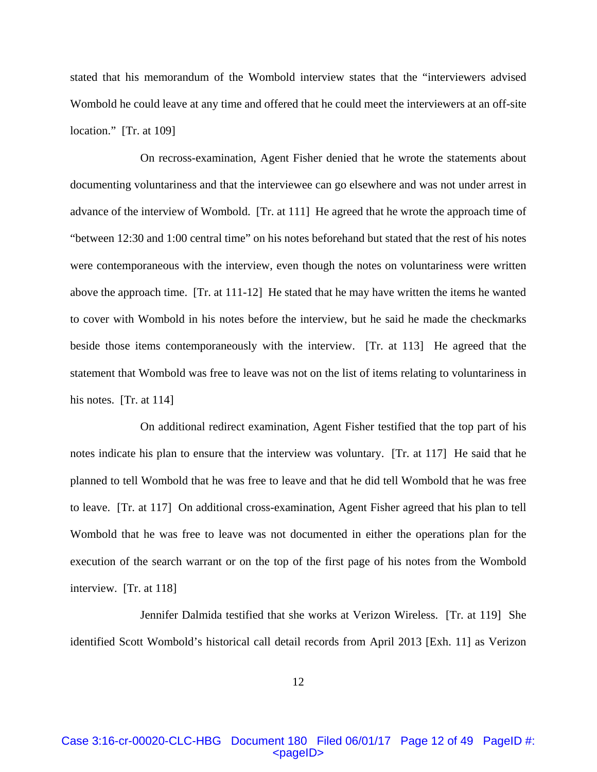stated that his memorandum of the Wombold interview states that the "interviewers advised Wombold he could leave at any time and offered that he could meet the interviewers at an off-site location." [Tr. at 109]

 On recross-examination, Agent Fisher denied that he wrote the statements about documenting voluntariness and that the interviewee can go elsewhere and was not under arrest in advance of the interview of Wombold. [Tr. at 111] He agreed that he wrote the approach time of "between 12:30 and 1:00 central time" on his notes beforehand but stated that the rest of his notes were contemporaneous with the interview, even though the notes on voluntariness were written above the approach time. [Tr. at 111-12] He stated that he may have written the items he wanted to cover with Wombold in his notes before the interview, but he said he made the checkmarks beside those items contemporaneously with the interview. [Tr. at 113] He agreed that the statement that Wombold was free to leave was not on the list of items relating to voluntariness in his notes. [Tr. at 114]

 On additional redirect examination, Agent Fisher testified that the top part of his notes indicate his plan to ensure that the interview was voluntary. [Tr. at 117] He said that he planned to tell Wombold that he was free to leave and that he did tell Wombold that he was free to leave. [Tr. at 117] On additional cross-examination, Agent Fisher agreed that his plan to tell Wombold that he was free to leave was not documented in either the operations plan for the execution of the search warrant or on the top of the first page of his notes from the Wombold interview. [Tr. at 118]

 Jennifer Dalmida testified that she works at Verizon Wireless. [Tr. at 119] She identified Scott Wombold's historical call detail records from April 2013 [Exh. 11] as Verizon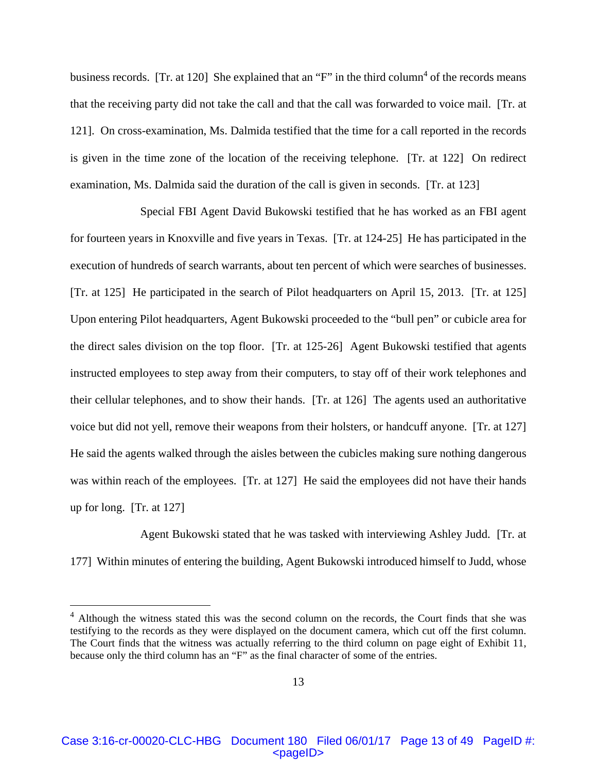business records. [Tr. at 120] She explained that an "F" in the third column<sup>4</sup> of the records means that the receiving party did not take the call and that the call was forwarded to voice mail. [Tr. at 121]. On cross-examination, Ms. Dalmida testified that the time for a call reported in the records is given in the time zone of the location of the receiving telephone. [Tr. at 122] On redirect examination, Ms. Dalmida said the duration of the call is given in seconds. [Tr. at 123]

 Special FBI Agent David Bukowski testified that he has worked as an FBI agent for fourteen years in Knoxville and five years in Texas. [Tr. at 124-25] He has participated in the execution of hundreds of search warrants, about ten percent of which were searches of businesses. [Tr. at 125] He participated in the search of Pilot headquarters on April 15, 2013. [Tr. at 125] Upon entering Pilot headquarters, Agent Bukowski proceeded to the "bull pen" or cubicle area for the direct sales division on the top floor. [Tr. at 125-26] Agent Bukowski testified that agents instructed employees to step away from their computers, to stay off of their work telephones and their cellular telephones, and to show their hands. [Tr. at 126] The agents used an authoritative voice but did not yell, remove their weapons from their holsters, or handcuff anyone. [Tr. at 127] He said the agents walked through the aisles between the cubicles making sure nothing dangerous was within reach of the employees. [Tr. at 127] He said the employees did not have their hands up for long. [Tr. at 127]

 Agent Bukowski stated that he was tasked with interviewing Ashley Judd. [Tr. at 177] Within minutes of entering the building, Agent Bukowski introduced himself to Judd, whose

 $\overline{a}$ 

Case 3:16-cr-00020-CLC-HBG Document 180 Filed 06/01/17 Page 13 of 49 PageID #: <pageID>

<sup>&</sup>lt;sup>4</sup> Although the witness stated this was the second column on the records, the Court finds that she was testifying to the records as they were displayed on the document camera, which cut off the first column. The Court finds that the witness was actually referring to the third column on page eight of Exhibit 11, because only the third column has an "F" as the final character of some of the entries.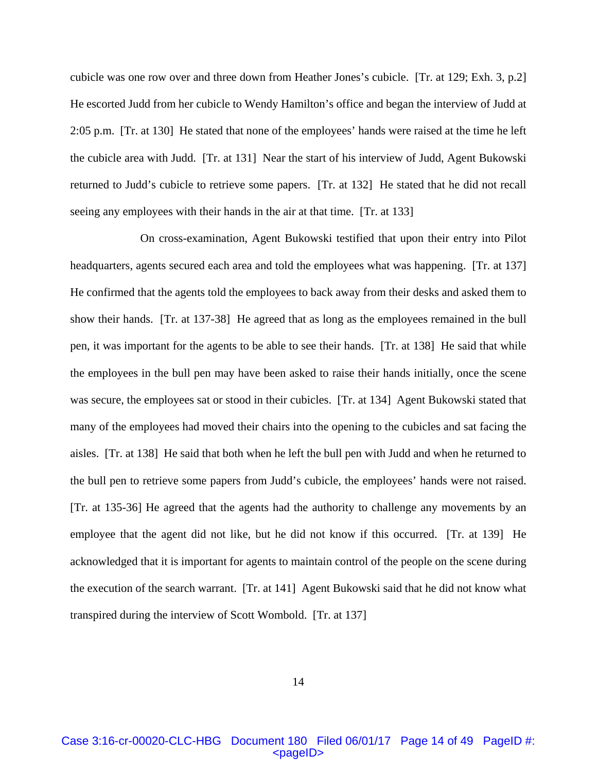cubicle was one row over and three down from Heather Jones's cubicle. [Tr. at 129; Exh. 3, p.2] He escorted Judd from her cubicle to Wendy Hamilton's office and began the interview of Judd at 2:05 p.m. [Tr. at 130] He stated that none of the employees' hands were raised at the time he left the cubicle area with Judd. [Tr. at 131] Near the start of his interview of Judd, Agent Bukowski returned to Judd's cubicle to retrieve some papers. [Tr. at 132] He stated that he did not recall seeing any employees with their hands in the air at that time. [Tr. at 133]

 On cross-examination, Agent Bukowski testified that upon their entry into Pilot headquarters, agents secured each area and told the employees what was happening. [Tr. at 137] He confirmed that the agents told the employees to back away from their desks and asked them to show their hands. [Tr. at 137-38] He agreed that as long as the employees remained in the bull pen, it was important for the agents to be able to see their hands. [Tr. at 138] He said that while the employees in the bull pen may have been asked to raise their hands initially, once the scene was secure, the employees sat or stood in their cubicles. [Tr. at 134] Agent Bukowski stated that many of the employees had moved their chairs into the opening to the cubicles and sat facing the aisles. [Tr. at 138] He said that both when he left the bull pen with Judd and when he returned to the bull pen to retrieve some papers from Judd's cubicle, the employees' hands were not raised. [Tr. at 135-36] He agreed that the agents had the authority to challenge any movements by an employee that the agent did not like, but he did not know if this occurred. [Tr. at 139] He acknowledged that it is important for agents to maintain control of the people on the scene during the execution of the search warrant. [Tr. at 141] Agent Bukowski said that he did not know what transpired during the interview of Scott Wombold. [Tr. at 137]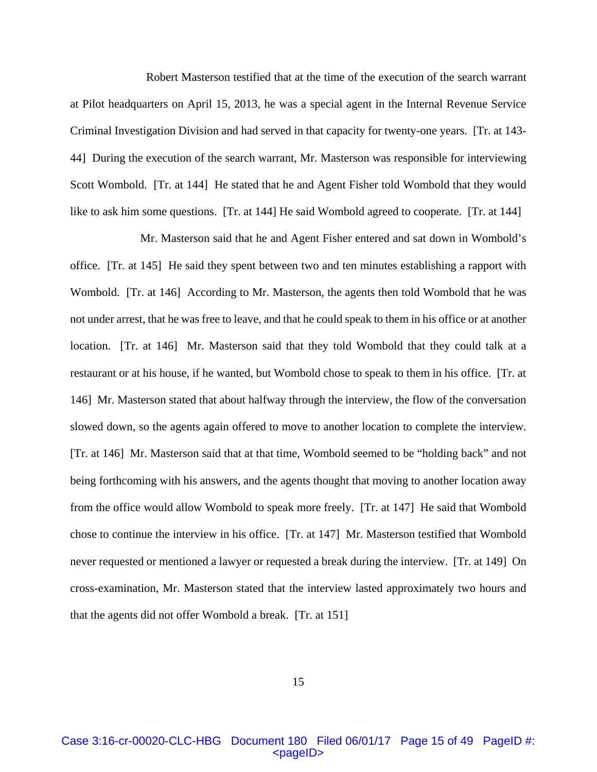Robert Masterson testified that at the time of the execution of the search warrant at Pilot headquarters on April 15, 2013, he was a special agent in the Internal Revenue Service Criminal Investigation Division and had served in that capacity for twenty-one years. [Tr. at 143- 44] During the execution of the search warrant, Mr. Masterson was responsible for interviewing Scott Wombold. [Tr. at 144] He stated that he and Agent Fisher told Wombold that they would like to ask him some questions. [Tr. at 144] He said Wombold agreed to cooperate. [Tr. at 144]

 Mr. Masterson said that he and Agent Fisher entered and sat down in Wombold's office. [Tr. at 145] He said they spent between two and ten minutes establishing a rapport with Wombold. [Tr. at 146] According to Mr. Masterson, the agents then told Wombold that he was not under arrest, that he was free to leave, and that he could speak to them in his office or at another location. [Tr. at 146] Mr. Masterson said that they told Wombold that they could talk at a restaurant or at his house, if he wanted, but Wombold chose to speak to them in his office. [Tr. at 146] Mr. Masterson stated that about halfway through the interview, the flow of the conversation slowed down, so the agents again offered to move to another location to complete the interview. [Tr. at 146] Mr. Masterson said that at that time, Wombold seemed to be "holding back" and not being forthcoming with his answers, and the agents thought that moving to another location away from the office would allow Wombold to speak more freely. [Tr. at 147] He said that Wombold chose to continue the interview in his office. [Tr. at 147] Mr. Masterson testified that Wombold never requested or mentioned a lawyer or requested a break during the interview. [Tr. at 149] On cross-examination, Mr. Masterson stated that the interview lasted approximately two hours and that the agents did not offer Wombold a break. [Tr. at 151]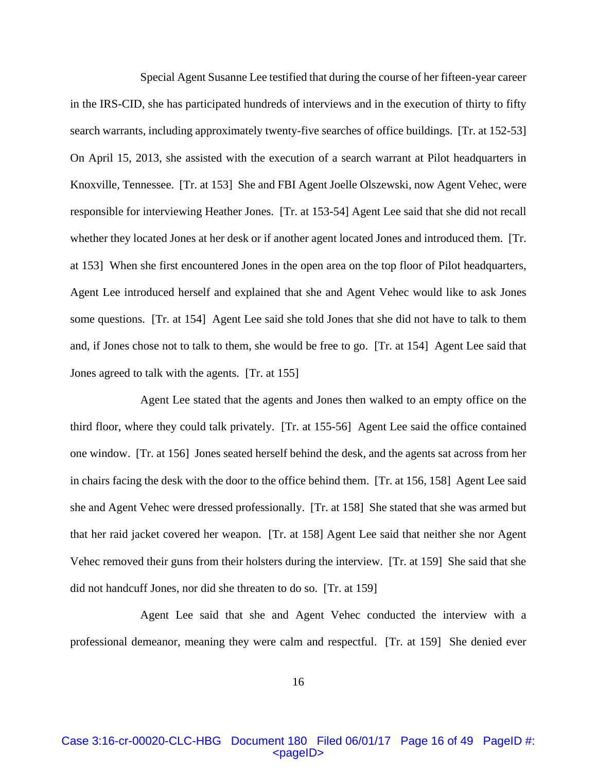Special Agent Susanne Lee testified that during the course of her fifteen-year career in the IRS-CID, she has participated hundreds of interviews and in the execution of thirty to fifty search warrants, including approximately twenty-five searches of office buildings. [Tr. at 152-53] On April 15, 2013, she assisted with the execution of a search warrant at Pilot headquarters in Knoxville, Tennessee. [Tr. at 153] She and FBI Agent Joelle Olszewski, now Agent Vehec, were responsible for interviewing Heather Jones. [Tr. at 153-54] Agent Lee said that she did not recall whether they located Jones at her desk or if another agent located Jones and introduced them. [Tr. at 153] When she first encountered Jones in the open area on the top floor of Pilot headquarters, Agent Lee introduced herself and explained that she and Agent Vehec would like to ask Jones some questions. [Tr. at 154] Agent Lee said she told Jones that she did not have to talk to them and, if Jones chose not to talk to them, she would be free to go. [Tr. at 154] Agent Lee said that Jones agreed to talk with the agents. [Tr. at 155]

 Agent Lee stated that the agents and Jones then walked to an empty office on the third floor, where they could talk privately. [Tr. at 155-56] Agent Lee said the office contained one window. [Tr. at 156] Jones seated herself behind the desk, and the agents sat across from her in chairs facing the desk with the door to the office behind them. [Tr. at 156, 158] Agent Lee said she and Agent Vehec were dressed professionally. [Tr. at 158] She stated that she was armed but that her raid jacket covered her weapon. [Tr. at 158] Agent Lee said that neither she nor Agent Vehec removed their guns from their holsters during the interview. [Tr. at 159] She said that she did not handcuff Jones, nor did she threaten to do so. [Tr. at 159]

 Agent Lee said that she and Agent Vehec conducted the interview with a professional demeanor, meaning they were calm and respectful. [Tr. at 159] She denied ever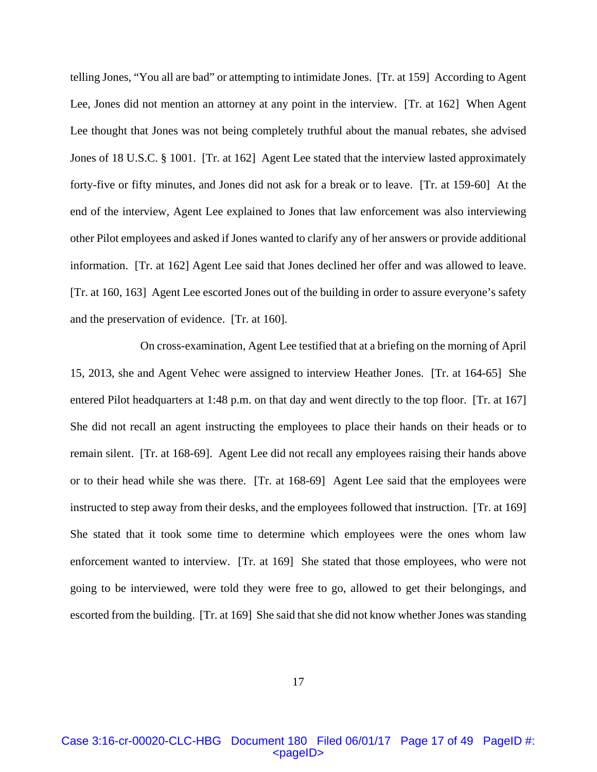telling Jones, "You all are bad" or attempting to intimidate Jones. [Tr. at 159] According to Agent Lee, Jones did not mention an attorney at any point in the interview. [Tr. at 162] When Agent Lee thought that Jones was not being completely truthful about the manual rebates, she advised Jones of 18 U.S.C. § 1001. [Tr. at 162] Agent Lee stated that the interview lasted approximately forty-five or fifty minutes, and Jones did not ask for a break or to leave. [Tr. at 159-60] At the end of the interview, Agent Lee explained to Jones that law enforcement was also interviewing other Pilot employees and asked if Jones wanted to clarify any of her answers or provide additional information. [Tr. at 162] Agent Lee said that Jones declined her offer and was allowed to leave. [Tr. at 160, 163] Agent Lee escorted Jones out of the building in order to assure everyone's safety and the preservation of evidence. [Tr. at 160].

 On cross-examination, Agent Lee testified that at a briefing on the morning of April 15, 2013, she and Agent Vehec were assigned to interview Heather Jones. [Tr. at 164-65] She entered Pilot headquarters at 1:48 p.m. on that day and went directly to the top floor. [Tr. at 167] She did not recall an agent instructing the employees to place their hands on their heads or to remain silent. [Tr. at 168-69]. Agent Lee did not recall any employees raising their hands above or to their head while she was there. [Tr. at 168-69] Agent Lee said that the employees were instructed to step away from their desks, and the employees followed that instruction. [Tr. at 169] She stated that it took some time to determine which employees were the ones whom law enforcement wanted to interview. [Tr. at 169] She stated that those employees, who were not going to be interviewed, were told they were free to go, allowed to get their belongings, and escorted from the building. [Tr. at 169] She said that she did not know whether Jones was standing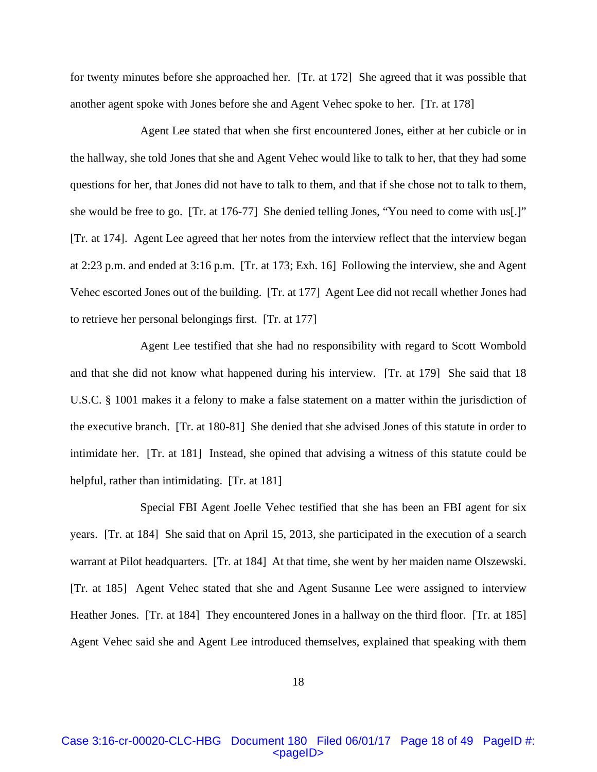for twenty minutes before she approached her. [Tr. at 172] She agreed that it was possible that another agent spoke with Jones before she and Agent Vehec spoke to her. [Tr. at 178]

 Agent Lee stated that when she first encountered Jones, either at her cubicle or in the hallway, she told Jones that she and Agent Vehec would like to talk to her, that they had some questions for her, that Jones did not have to talk to them, and that if she chose not to talk to them, she would be free to go. [Tr. at 176-77] She denied telling Jones, "You need to come with us[.]" [Tr. at 174]. Agent Lee agreed that her notes from the interview reflect that the interview began at 2:23 p.m. and ended at 3:16 p.m. [Tr. at 173; Exh. 16] Following the interview, she and Agent Vehec escorted Jones out of the building. [Tr. at 177] Agent Lee did not recall whether Jones had to retrieve her personal belongings first. [Tr. at 177]

 Agent Lee testified that she had no responsibility with regard to Scott Wombold and that she did not know what happened during his interview. [Tr. at 179] She said that 18 U.S.C. § 1001 makes it a felony to make a false statement on a matter within the jurisdiction of the executive branch. [Tr. at 180-81] She denied that she advised Jones of this statute in order to intimidate her. [Tr. at 181] Instead, she opined that advising a witness of this statute could be helpful, rather than intimidating. [Tr. at 181]

 Special FBI Agent Joelle Vehec testified that she has been an FBI agent for six years. [Tr. at 184] She said that on April 15, 2013, she participated in the execution of a search warrant at Pilot headquarters. [Tr. at 184] At that time, she went by her maiden name Olszewski. [Tr. at 185] Agent Vehec stated that she and Agent Susanne Lee were assigned to interview Heather Jones. [Tr. at 184] They encountered Jones in a hallway on the third floor. [Tr. at 185] Agent Vehec said she and Agent Lee introduced themselves, explained that speaking with them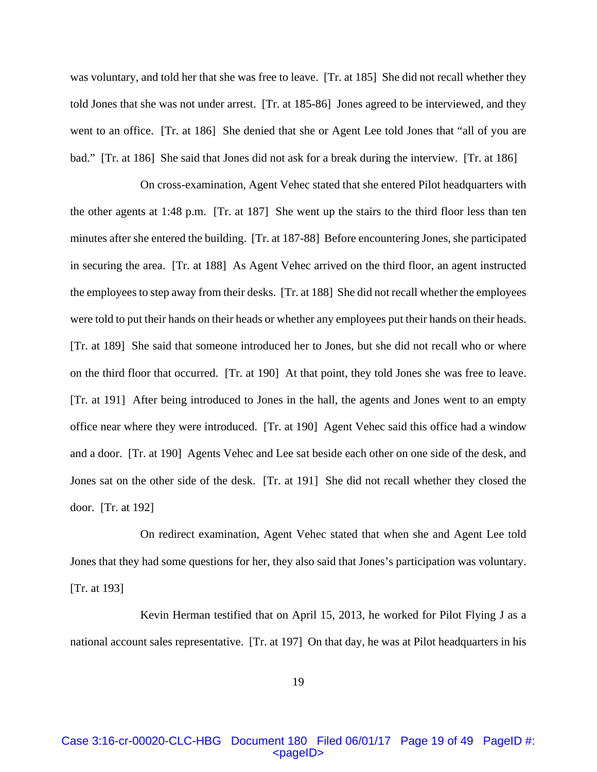was voluntary, and told her that she was free to leave. [Tr. at 185] She did not recall whether they told Jones that she was not under arrest. [Tr. at 185-86] Jones agreed to be interviewed, and they went to an office. [Tr. at 186] She denied that she or Agent Lee told Jones that "all of you are bad." [Tr. at 186] She said that Jones did not ask for a break during the interview. [Tr. at 186]

 On cross-examination, Agent Vehec stated that she entered Pilot headquarters with the other agents at 1:48 p.m. [Tr. at 187] She went up the stairs to the third floor less than ten minutes after she entered the building. [Tr. at 187-88] Before encountering Jones, she participated in securing the area. [Tr. at 188] As Agent Vehec arrived on the third floor, an agent instructed the employees to step away from their desks. [Tr. at 188] She did not recall whether the employees were told to put their hands on their heads or whether any employees put their hands on their heads. [Tr. at 189] She said that someone introduced her to Jones, but she did not recall who or where on the third floor that occurred. [Tr. at 190] At that point, they told Jones she was free to leave. [Tr. at 191] After being introduced to Jones in the hall, the agents and Jones went to an empty office near where they were introduced. [Tr. at 190] Agent Vehec said this office had a window and a door. [Tr. at 190] Agents Vehec and Lee sat beside each other on one side of the desk, and Jones sat on the other side of the desk. [Tr. at 191] She did not recall whether they closed the door. [Tr. at 192]

 On redirect examination, Agent Vehec stated that when she and Agent Lee told Jones that they had some questions for her, they also said that Jones's participation was voluntary. [Tr. at 193]

 Kevin Herman testified that on April 15, 2013, he worked for Pilot Flying J as a national account sales representative. [Tr. at 197] On that day, he was at Pilot headquarters in his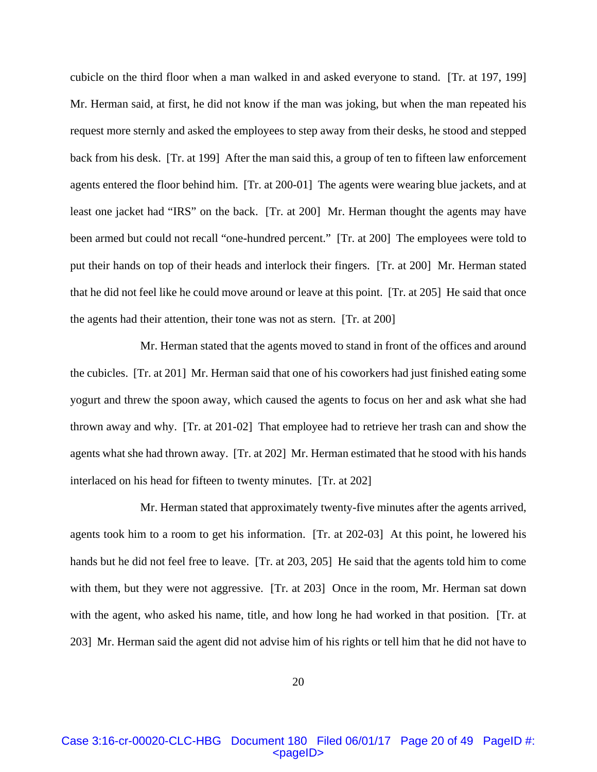cubicle on the third floor when a man walked in and asked everyone to stand. [Tr. at 197, 199] Mr. Herman said, at first, he did not know if the man was joking, but when the man repeated his request more sternly and asked the employees to step away from their desks, he stood and stepped back from his desk. [Tr. at 199] After the man said this, a group of ten to fifteen law enforcement agents entered the floor behind him. [Tr. at 200-01] The agents were wearing blue jackets, and at least one jacket had "IRS" on the back. [Tr. at 200] Mr. Herman thought the agents may have been armed but could not recall "one-hundred percent." [Tr. at 200] The employees were told to put their hands on top of their heads and interlock their fingers. [Tr. at 200] Mr. Herman stated that he did not feel like he could move around or leave at this point. [Tr. at 205] He said that once the agents had their attention, their tone was not as stern. [Tr. at 200]

 Mr. Herman stated that the agents moved to stand in front of the offices and around the cubicles. [Tr. at 201] Mr. Herman said that one of his coworkers had just finished eating some yogurt and threw the spoon away, which caused the agents to focus on her and ask what she had thrown away and why. [Tr. at 201-02] That employee had to retrieve her trash can and show the agents what she had thrown away. [Tr. at 202] Mr. Herman estimated that he stood with his hands interlaced on his head for fifteen to twenty minutes. [Tr. at 202]

 Mr. Herman stated that approximately twenty-five minutes after the agents arrived, agents took him to a room to get his information. [Tr. at 202-03] At this point, he lowered his hands but he did not feel free to leave. [Tr. at 203, 205] He said that the agents told him to come with them, but they were not aggressive. [Tr. at 203] Once in the room, Mr. Herman sat down with the agent, who asked his name, title, and how long he had worked in that position. [Tr. at 203] Mr. Herman said the agent did not advise him of his rights or tell him that he did not have to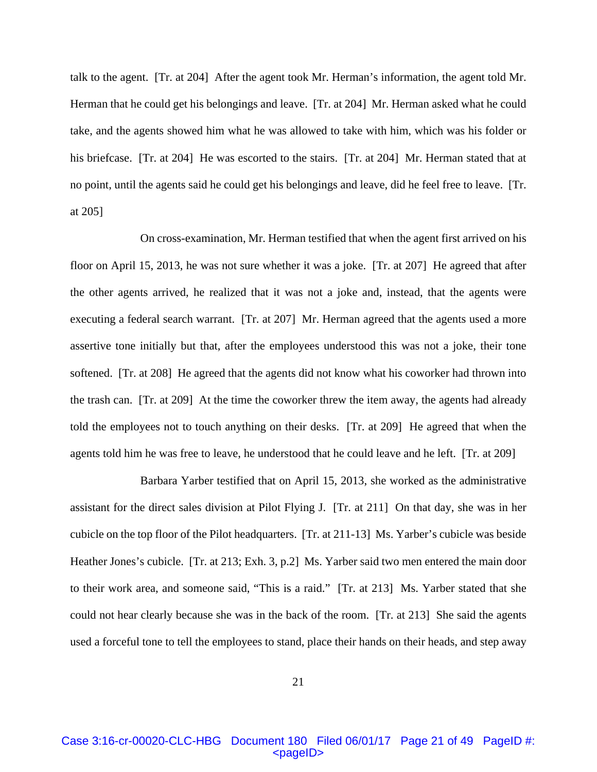talk to the agent. [Tr. at 204] After the agent took Mr. Herman's information, the agent told Mr. Herman that he could get his belongings and leave. [Tr. at 204] Mr. Herman asked what he could take, and the agents showed him what he was allowed to take with him, which was his folder or his briefcase. [Tr. at 204] He was escorted to the stairs. [Tr. at 204] Mr. Herman stated that at no point, until the agents said he could get his belongings and leave, did he feel free to leave. [Tr. at 205]

 On cross-examination, Mr. Herman testified that when the agent first arrived on his floor on April 15, 2013, he was not sure whether it was a joke. [Tr. at 207] He agreed that after the other agents arrived, he realized that it was not a joke and, instead, that the agents were executing a federal search warrant. [Tr. at 207] Mr. Herman agreed that the agents used a more assertive tone initially but that, after the employees understood this was not a joke, their tone softened. [Tr. at 208] He agreed that the agents did not know what his coworker had thrown into the trash can. [Tr. at 209] At the time the coworker threw the item away, the agents had already told the employees not to touch anything on their desks. [Tr. at 209] He agreed that when the agents told him he was free to leave, he understood that he could leave and he left. [Tr. at 209]

 Barbara Yarber testified that on April 15, 2013, she worked as the administrative assistant for the direct sales division at Pilot Flying J. [Tr. at 211] On that day, she was in her cubicle on the top floor of the Pilot headquarters. [Tr. at 211-13] Ms. Yarber's cubicle was beside Heather Jones's cubicle. [Tr. at 213; Exh. 3, p.2] Ms. Yarber said two men entered the main door to their work area, and someone said, "This is a raid." [Tr. at 213] Ms. Yarber stated that she could not hear clearly because she was in the back of the room. [Tr. at 213] She said the agents used a forceful tone to tell the employees to stand, place their hands on their heads, and step away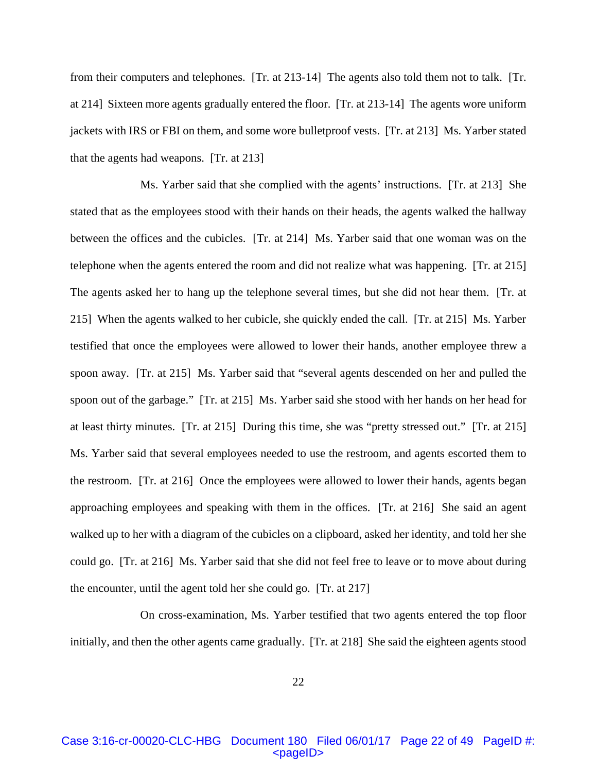from their computers and telephones. [Tr. at 213-14] The agents also told them not to talk. [Tr. at 214] Sixteen more agents gradually entered the floor. [Tr. at 213-14] The agents wore uniform jackets with IRS or FBI on them, and some wore bulletproof vests. [Tr. at 213] Ms. Yarber stated that the agents had weapons. [Tr. at 213]

 Ms. Yarber said that she complied with the agents' instructions. [Tr. at 213] She stated that as the employees stood with their hands on their heads, the agents walked the hallway between the offices and the cubicles. [Tr. at 214] Ms. Yarber said that one woman was on the telephone when the agents entered the room and did not realize what was happening. [Tr. at 215] The agents asked her to hang up the telephone several times, but she did not hear them. [Tr. at 215] When the agents walked to her cubicle, she quickly ended the call. [Tr. at 215] Ms. Yarber testified that once the employees were allowed to lower their hands, another employee threw a spoon away. [Tr. at 215] Ms. Yarber said that "several agents descended on her and pulled the spoon out of the garbage." [Tr. at 215] Ms. Yarber said she stood with her hands on her head for at least thirty minutes. [Tr. at 215] During this time, she was "pretty stressed out." [Tr. at 215] Ms. Yarber said that several employees needed to use the restroom, and agents escorted them to the restroom. [Tr. at 216] Once the employees were allowed to lower their hands, agents began approaching employees and speaking with them in the offices. [Tr. at 216] She said an agent walked up to her with a diagram of the cubicles on a clipboard, asked her identity, and told her she could go. [Tr. at 216] Ms. Yarber said that she did not feel free to leave or to move about during the encounter, until the agent told her she could go. [Tr. at 217]

 On cross-examination, Ms. Yarber testified that two agents entered the top floor initially, and then the other agents came gradually. [Tr. at 218] She said the eighteen agents stood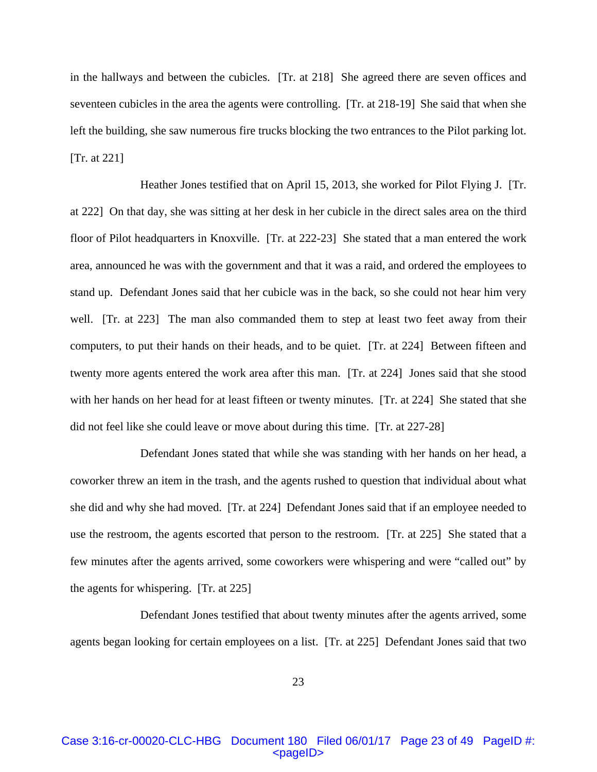in the hallways and between the cubicles. [Tr. at 218] She agreed there are seven offices and seventeen cubicles in the area the agents were controlling. [Tr. at 218-19] She said that when she left the building, she saw numerous fire trucks blocking the two entrances to the Pilot parking lot. [Tr. at 221]

 Heather Jones testified that on April 15, 2013, she worked for Pilot Flying J. [Tr. at 222] On that day, she was sitting at her desk in her cubicle in the direct sales area on the third floor of Pilot headquarters in Knoxville. [Tr. at 222-23] She stated that a man entered the work area, announced he was with the government and that it was a raid, and ordered the employees to stand up. Defendant Jones said that her cubicle was in the back, so she could not hear him very well. [Tr. at 223] The man also commanded them to step at least two feet away from their computers, to put their hands on their heads, and to be quiet. [Tr. at 224] Between fifteen and twenty more agents entered the work area after this man. [Tr. at 224] Jones said that she stood with her hands on her head for at least fifteen or twenty minutes. [Tr. at 224] She stated that she did not feel like she could leave or move about during this time. [Tr. at 227-28]

 Defendant Jones stated that while she was standing with her hands on her head, a coworker threw an item in the trash, and the agents rushed to question that individual about what she did and why she had moved. [Tr. at 224] Defendant Jones said that if an employee needed to use the restroom, the agents escorted that person to the restroom. [Tr. at 225] She stated that a few minutes after the agents arrived, some coworkers were whispering and were "called out" by the agents for whispering. [Tr. at 225]

 Defendant Jones testified that about twenty minutes after the agents arrived, some agents began looking for certain employees on a list. [Tr. at 225] Defendant Jones said that two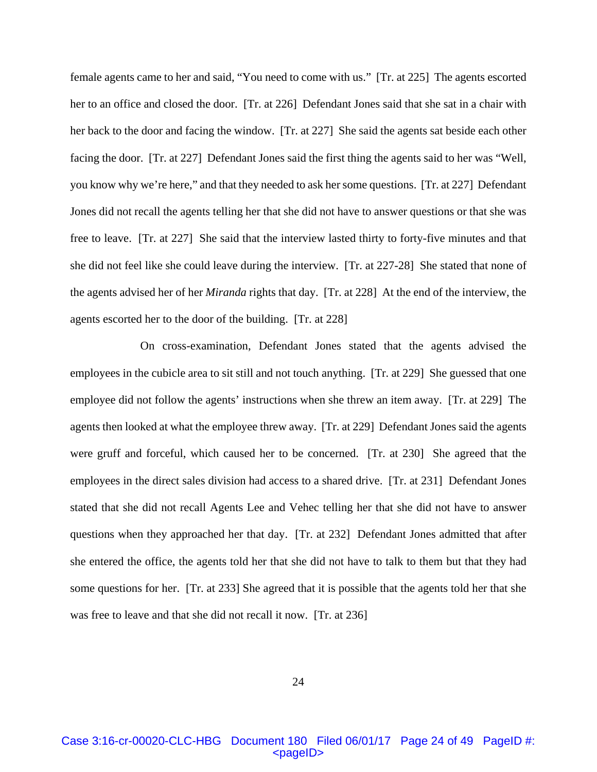female agents came to her and said, "You need to come with us." [Tr. at 225] The agents escorted her to an office and closed the door. [Tr. at 226] Defendant Jones said that she sat in a chair with her back to the door and facing the window. [Tr. at 227] She said the agents sat beside each other facing the door. [Tr. at 227] Defendant Jones said the first thing the agents said to her was "Well, you know why we're here," and that they needed to ask her some questions. [Tr. at 227] Defendant Jones did not recall the agents telling her that she did not have to answer questions or that she was free to leave. [Tr. at 227] She said that the interview lasted thirty to forty-five minutes and that she did not feel like she could leave during the interview. [Tr. at 227-28] She stated that none of the agents advised her of her *Miranda* rights that day. [Tr. at 228] At the end of the interview, the agents escorted her to the door of the building. [Tr. at 228]

 On cross-examination, Defendant Jones stated that the agents advised the employees in the cubicle area to sit still and not touch anything. [Tr. at 229] She guessed that one employee did not follow the agents' instructions when she threw an item away. [Tr. at 229] The agents then looked at what the employee threw away. [Tr. at 229] Defendant Jones said the agents were gruff and forceful, which caused her to be concerned. [Tr. at 230] She agreed that the employees in the direct sales division had access to a shared drive. [Tr. at 231] Defendant Jones stated that she did not recall Agents Lee and Vehec telling her that she did not have to answer questions when they approached her that day. [Tr. at 232] Defendant Jones admitted that after she entered the office, the agents told her that she did not have to talk to them but that they had some questions for her. [Tr. at 233] She agreed that it is possible that the agents told her that she was free to leave and that she did not recall it now. [Tr. at 236]

24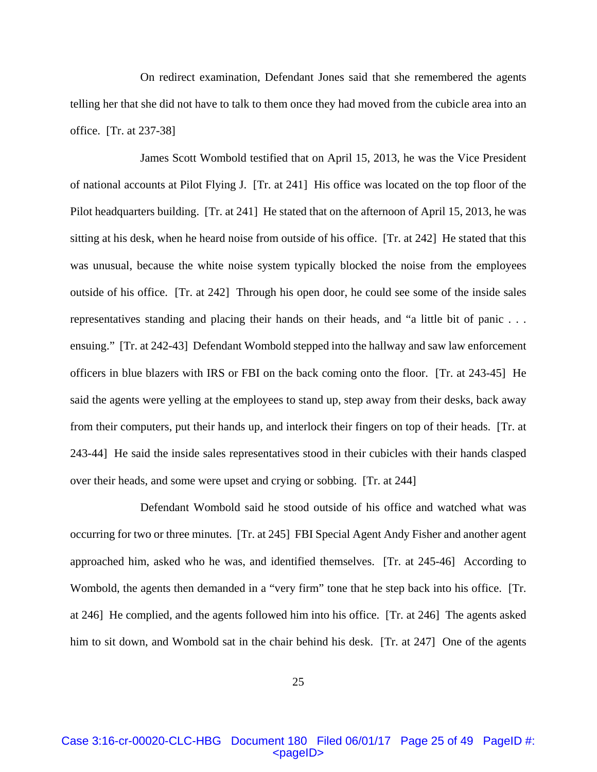On redirect examination, Defendant Jones said that she remembered the agents telling her that she did not have to talk to them once they had moved from the cubicle area into an office. [Tr. at 237-38]

 James Scott Wombold testified that on April 15, 2013, he was the Vice President of national accounts at Pilot Flying J. [Tr. at 241] His office was located on the top floor of the Pilot headquarters building. [Tr. at 241] He stated that on the afternoon of April 15, 2013, he was sitting at his desk, when he heard noise from outside of his office. [Tr. at 242] He stated that this was unusual, because the white noise system typically blocked the noise from the employees outside of his office. [Tr. at 242] Through his open door, he could see some of the inside sales representatives standing and placing their hands on their heads, and "a little bit of panic . . . ensuing." [Tr. at 242-43] Defendant Wombold stepped into the hallway and saw law enforcement officers in blue blazers with IRS or FBI on the back coming onto the floor. [Tr. at 243-45] He said the agents were yelling at the employees to stand up, step away from their desks, back away from their computers, put their hands up, and interlock their fingers on top of their heads. [Tr. at 243-44] He said the inside sales representatives stood in their cubicles with their hands clasped over their heads, and some were upset and crying or sobbing. [Tr. at 244]

 Defendant Wombold said he stood outside of his office and watched what was occurring for two or three minutes. [Tr. at 245] FBI Special Agent Andy Fisher and another agent approached him, asked who he was, and identified themselves. [Tr. at 245-46] According to Wombold, the agents then demanded in a "very firm" tone that he step back into his office. [Tr. at 246] He complied, and the agents followed him into his office. [Tr. at 246] The agents asked him to sit down, and Wombold sat in the chair behind his desk. [Tr. at 247] One of the agents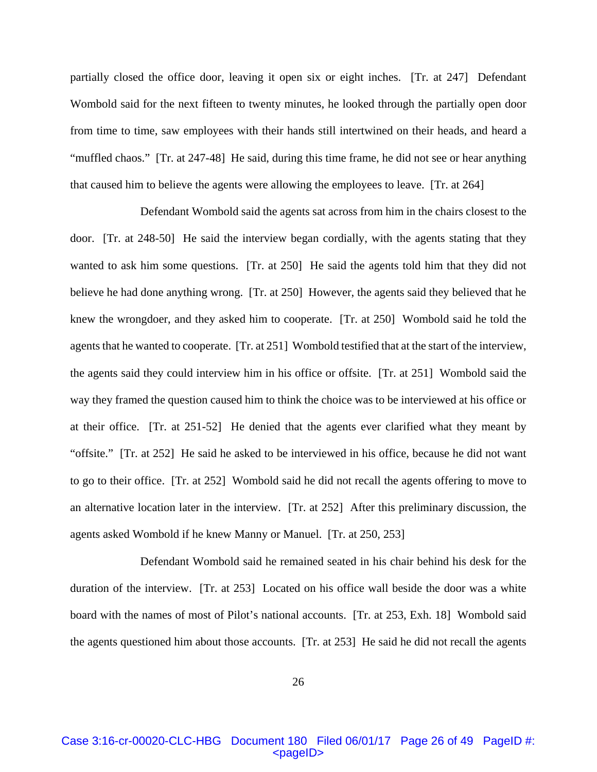partially closed the office door, leaving it open six or eight inches. [Tr. at 247] Defendant Wombold said for the next fifteen to twenty minutes, he looked through the partially open door from time to time, saw employees with their hands still intertwined on their heads, and heard a "muffled chaos." [Tr. at 247-48] He said, during this time frame, he did not see or hear anything that caused him to believe the agents were allowing the employees to leave. [Tr. at 264]

 Defendant Wombold said the agents sat across from him in the chairs closest to the door. [Tr. at 248-50] He said the interview began cordially, with the agents stating that they wanted to ask him some questions. [Tr. at 250] He said the agents told him that they did not believe he had done anything wrong. [Tr. at 250] However, the agents said they believed that he knew the wrongdoer, and they asked him to cooperate. [Tr. at 250] Wombold said he told the agents that he wanted to cooperate. [Tr. at 251] Wombold testified that at the start of the interview, the agents said they could interview him in his office or offsite. [Tr. at 251] Wombold said the way they framed the question caused him to think the choice was to be interviewed at his office or at their office. [Tr. at 251-52] He denied that the agents ever clarified what they meant by "offsite." [Tr. at 252] He said he asked to be interviewed in his office, because he did not want to go to their office. [Tr. at 252] Wombold said he did not recall the agents offering to move to an alternative location later in the interview. [Tr. at 252] After this preliminary discussion, the agents asked Wombold if he knew Manny or Manuel. [Tr. at 250, 253]

 Defendant Wombold said he remained seated in his chair behind his desk for the duration of the interview. [Tr. at 253] Located on his office wall beside the door was a white board with the names of most of Pilot's national accounts. [Tr. at 253, Exh. 18] Wombold said the agents questioned him about those accounts. [Tr. at 253] He said he did not recall the agents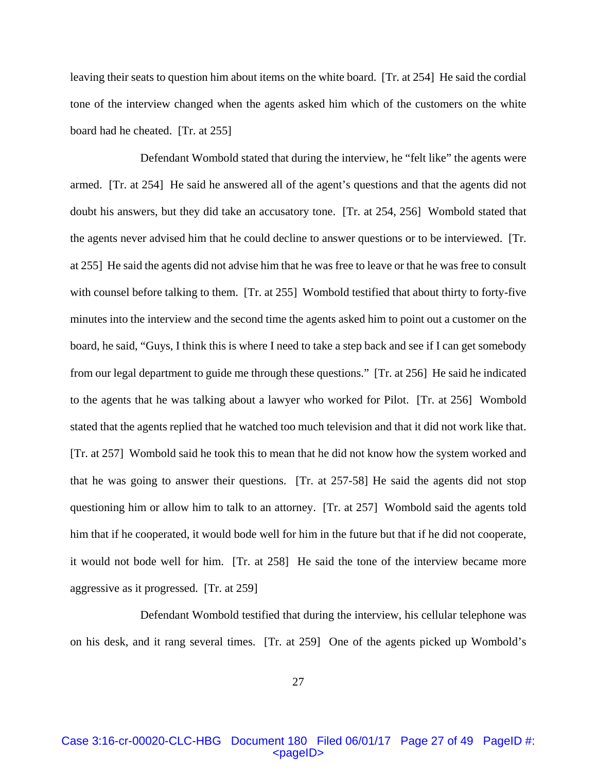leaving their seats to question him about items on the white board. [Tr. at 254] He said the cordial tone of the interview changed when the agents asked him which of the customers on the white board had he cheated. [Tr. at 255]

 Defendant Wombold stated that during the interview, he "felt like" the agents were armed. [Tr. at 254] He said he answered all of the agent's questions and that the agents did not doubt his answers, but they did take an accusatory tone. [Tr. at 254, 256] Wombold stated that the agents never advised him that he could decline to answer questions or to be interviewed. [Tr. at 255] He said the agents did not advise him that he was free to leave or that he was free to consult with counsel before talking to them. [Tr. at 255] Wombold testified that about thirty to forty-five minutes into the interview and the second time the agents asked him to point out a customer on the board, he said, "Guys, I think this is where I need to take a step back and see if I can get somebody from our legal department to guide me through these questions." [Tr. at 256] He said he indicated to the agents that he was talking about a lawyer who worked for Pilot. [Tr. at 256] Wombold stated that the agents replied that he watched too much television and that it did not work like that. [Tr. at 257] Wombold said he took this to mean that he did not know how the system worked and that he was going to answer their questions. [Tr. at 257-58] He said the agents did not stop questioning him or allow him to talk to an attorney. [Tr. at 257] Wombold said the agents told him that if he cooperated, it would bode well for him in the future but that if he did not cooperate, it would not bode well for him. [Tr. at 258] He said the tone of the interview became more aggressive as it progressed. [Tr. at 259]

 Defendant Wombold testified that during the interview, his cellular telephone was on his desk, and it rang several times. [Tr. at 259] One of the agents picked up Wombold's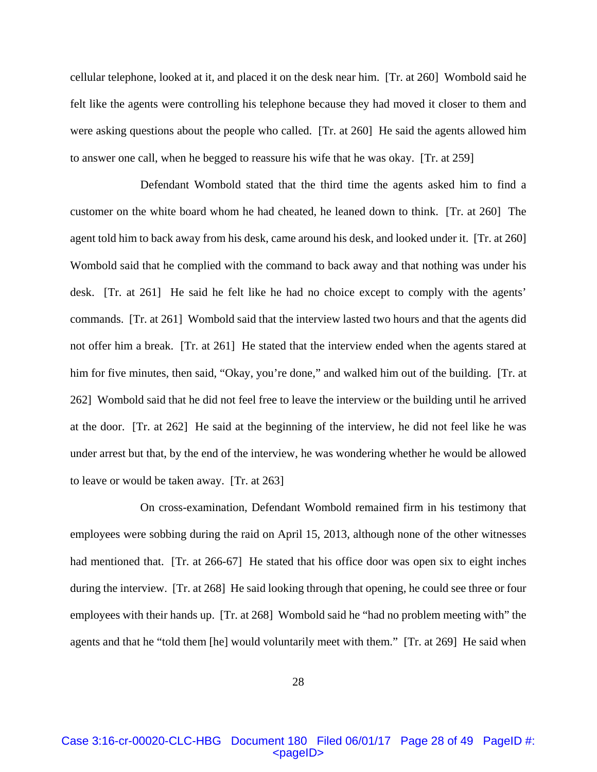cellular telephone, looked at it, and placed it on the desk near him. [Tr. at 260] Wombold said he felt like the agents were controlling his telephone because they had moved it closer to them and were asking questions about the people who called. [Tr. at 260] He said the agents allowed him to answer one call, when he begged to reassure his wife that he was okay. [Tr. at 259]

 Defendant Wombold stated that the third time the agents asked him to find a customer on the white board whom he had cheated, he leaned down to think. [Tr. at 260] The agent told him to back away from his desk, came around his desk, and looked under it. [Tr. at 260] Wombold said that he complied with the command to back away and that nothing was under his desk. [Tr. at 261] He said he felt like he had no choice except to comply with the agents' commands. [Tr. at 261] Wombold said that the interview lasted two hours and that the agents did not offer him a break. [Tr. at 261] He stated that the interview ended when the agents stared at him for five minutes, then said, "Okay, you're done," and walked him out of the building. [Tr. at 262] Wombold said that he did not feel free to leave the interview or the building until he arrived at the door. [Tr. at 262] He said at the beginning of the interview, he did not feel like he was under arrest but that, by the end of the interview, he was wondering whether he would be allowed to leave or would be taken away. [Tr. at 263]

 On cross-examination, Defendant Wombold remained firm in his testimony that employees were sobbing during the raid on April 15, 2013, although none of the other witnesses had mentioned that. [Tr. at 266-67] He stated that his office door was open six to eight inches during the interview. [Tr. at 268] He said looking through that opening, he could see three or four employees with their hands up. [Tr. at 268] Wombold said he "had no problem meeting with" the agents and that he "told them [he] would voluntarily meet with them." [Tr. at 269] He said when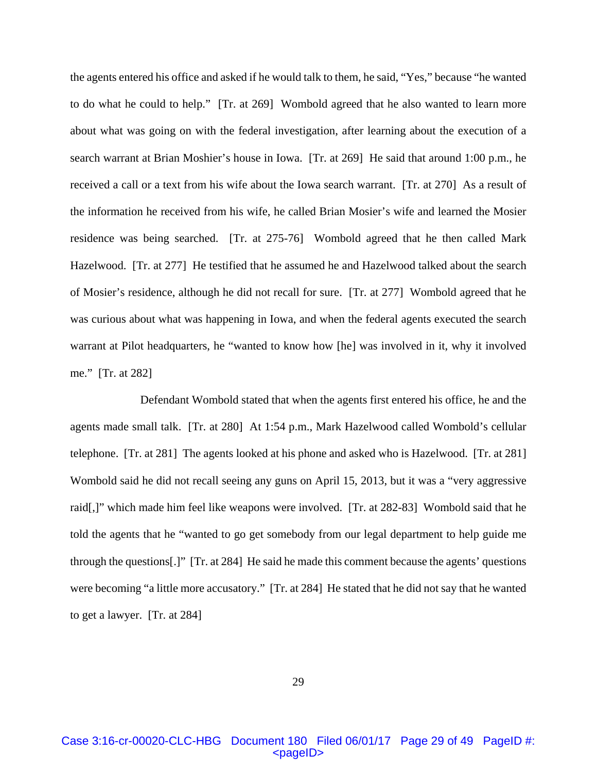the agents entered his office and asked if he would talk to them, he said, "Yes," because "he wanted to do what he could to help." [Tr. at 269] Wombold agreed that he also wanted to learn more about what was going on with the federal investigation, after learning about the execution of a search warrant at Brian Moshier's house in Iowa. [Tr. at 269] He said that around 1:00 p.m., he received a call or a text from his wife about the Iowa search warrant. [Tr. at 270] As a result of the information he received from his wife, he called Brian Mosier's wife and learned the Mosier residence was being searched. [Tr. at 275-76] Wombold agreed that he then called Mark Hazelwood. [Tr. at 277] He testified that he assumed he and Hazelwood talked about the search of Mosier's residence, although he did not recall for sure. [Tr. at 277] Wombold agreed that he was curious about what was happening in Iowa, and when the federal agents executed the search warrant at Pilot headquarters, he "wanted to know how [he] was involved in it, why it involved me." [Tr. at 282]

 Defendant Wombold stated that when the agents first entered his office, he and the agents made small talk. [Tr. at 280] At 1:54 p.m., Mark Hazelwood called Wombold's cellular telephone. [Tr. at 281] The agents looked at his phone and asked who is Hazelwood. [Tr. at 281] Wombold said he did not recall seeing any guns on April 15, 2013, but it was a "very aggressive raid[,]" which made him feel like weapons were involved. [Tr. at 282-83] Wombold said that he told the agents that he "wanted to go get somebody from our legal department to help guide me through the questions[.]" [Tr. at 284] He said he made this comment because the agents' questions were becoming "a little more accusatory." [Tr. at 284] He stated that he did not say that he wanted to get a lawyer. [Tr. at 284]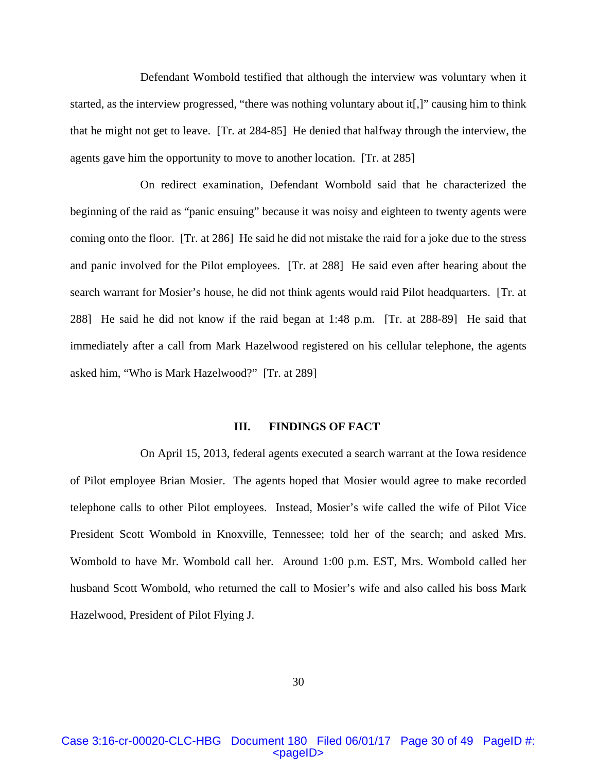Defendant Wombold testified that although the interview was voluntary when it started, as the interview progressed, "there was nothing voluntary about it[,]" causing him to think that he might not get to leave. [Tr. at 284-85] He denied that halfway through the interview, the agents gave him the opportunity to move to another location. [Tr. at 285]

 On redirect examination, Defendant Wombold said that he characterized the beginning of the raid as "panic ensuing" because it was noisy and eighteen to twenty agents were coming onto the floor. [Tr. at 286] He said he did not mistake the raid for a joke due to the stress and panic involved for the Pilot employees. [Tr. at 288] He said even after hearing about the search warrant for Mosier's house, he did not think agents would raid Pilot headquarters. [Tr. at 288] He said he did not know if the raid began at 1:48 p.m. [Tr. at 288-89] He said that immediately after a call from Mark Hazelwood registered on his cellular telephone, the agents asked him, "Who is Mark Hazelwood?" [Tr. at 289]

#### **III. FINDINGS OF FACT**

 On April 15, 2013, federal agents executed a search warrant at the Iowa residence of Pilot employee Brian Mosier. The agents hoped that Mosier would agree to make recorded telephone calls to other Pilot employees. Instead, Mosier's wife called the wife of Pilot Vice President Scott Wombold in Knoxville, Tennessee; told her of the search; and asked Mrs. Wombold to have Mr. Wombold call her. Around 1:00 p.m. EST, Mrs. Wombold called her husband Scott Wombold, who returned the call to Mosier's wife and also called his boss Mark Hazelwood, President of Pilot Flying J.

30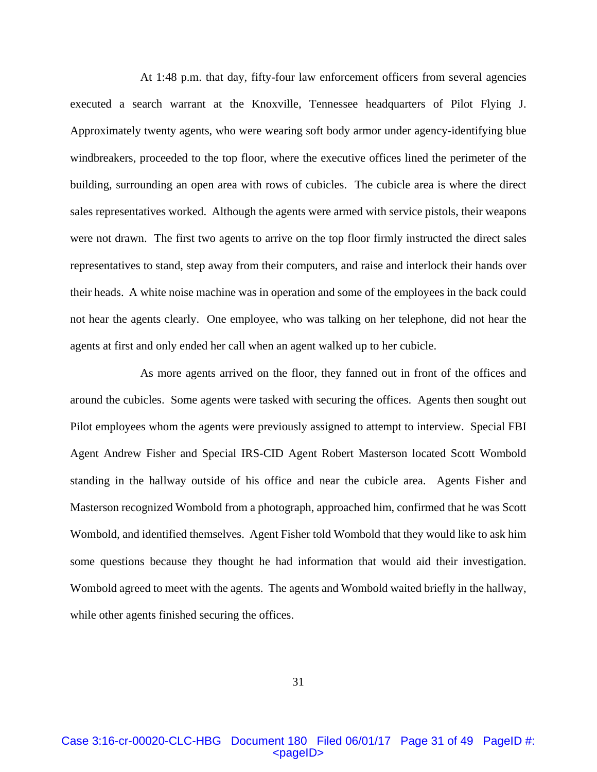At 1:48 p.m. that day, fifty-four law enforcement officers from several agencies executed a search warrant at the Knoxville, Tennessee headquarters of Pilot Flying J. Approximately twenty agents, who were wearing soft body armor under agency-identifying blue windbreakers, proceeded to the top floor, where the executive offices lined the perimeter of the building, surrounding an open area with rows of cubicles. The cubicle area is where the direct sales representatives worked. Although the agents were armed with service pistols, their weapons were not drawn. The first two agents to arrive on the top floor firmly instructed the direct sales representatives to stand, step away from their computers, and raise and interlock their hands over their heads. A white noise machine was in operation and some of the employees in the back could not hear the agents clearly. One employee, who was talking on her telephone, did not hear the agents at first and only ended her call when an agent walked up to her cubicle.

 As more agents arrived on the floor, they fanned out in front of the offices and around the cubicles. Some agents were tasked with securing the offices. Agents then sought out Pilot employees whom the agents were previously assigned to attempt to interview. Special FBI Agent Andrew Fisher and Special IRS-CID Agent Robert Masterson located Scott Wombold standing in the hallway outside of his office and near the cubicle area. Agents Fisher and Masterson recognized Wombold from a photograph, approached him, confirmed that he was Scott Wombold, and identified themselves. Agent Fisher told Wombold that they would like to ask him some questions because they thought he had information that would aid their investigation. Wombold agreed to meet with the agents. The agents and Wombold waited briefly in the hallway, while other agents finished securing the offices.

31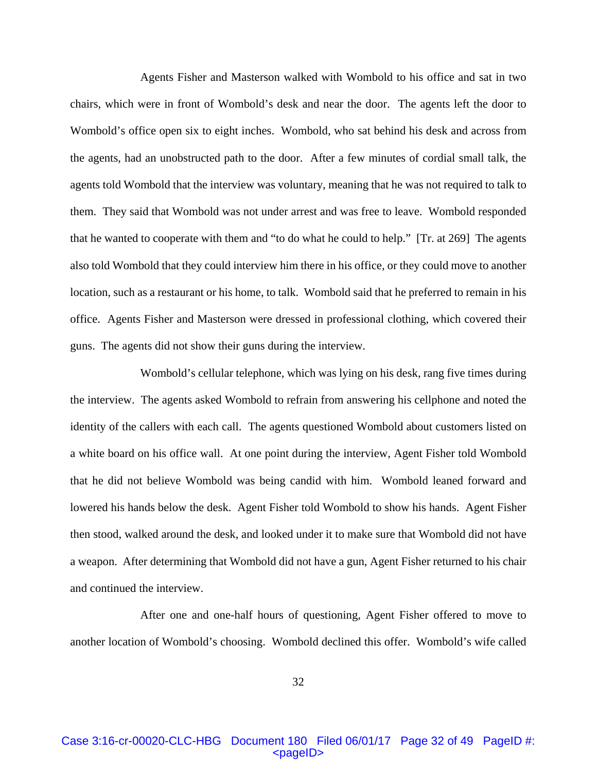Agents Fisher and Masterson walked with Wombold to his office and sat in two chairs, which were in front of Wombold's desk and near the door. The agents left the door to Wombold's office open six to eight inches. Wombold, who sat behind his desk and across from the agents, had an unobstructed path to the door. After a few minutes of cordial small talk, the agents told Wombold that the interview was voluntary, meaning that he was not required to talk to them. They said that Wombold was not under arrest and was free to leave. Wombold responded that he wanted to cooperate with them and "to do what he could to help." [Tr. at 269] The agents also told Wombold that they could interview him there in his office, or they could move to another location, such as a restaurant or his home, to talk. Wombold said that he preferred to remain in his office. Agents Fisher and Masterson were dressed in professional clothing, which covered their guns. The agents did not show their guns during the interview.

 Wombold's cellular telephone, which was lying on his desk, rang five times during the interview. The agents asked Wombold to refrain from answering his cellphone and noted the identity of the callers with each call. The agents questioned Wombold about customers listed on a white board on his office wall. At one point during the interview, Agent Fisher told Wombold that he did not believe Wombold was being candid with him. Wombold leaned forward and lowered his hands below the desk. Agent Fisher told Wombold to show his hands. Agent Fisher then stood, walked around the desk, and looked under it to make sure that Wombold did not have a weapon. After determining that Wombold did not have a gun, Agent Fisher returned to his chair and continued the interview.

 After one and one-half hours of questioning, Agent Fisher offered to move to another location of Wombold's choosing. Wombold declined this offer. Wombold's wife called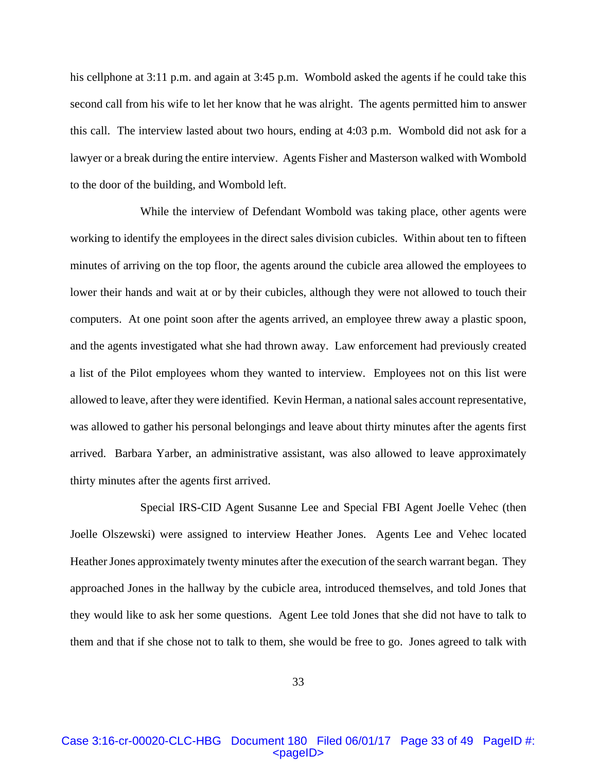his cellphone at 3:11 p.m. and again at 3:45 p.m. Wombold asked the agents if he could take this second call from his wife to let her know that he was alright. The agents permitted him to answer this call. The interview lasted about two hours, ending at 4:03 p.m. Wombold did not ask for a lawyer or a break during the entire interview. Agents Fisher and Masterson walked with Wombold to the door of the building, and Wombold left.

 While the interview of Defendant Wombold was taking place, other agents were working to identify the employees in the direct sales division cubicles. Within about ten to fifteen minutes of arriving on the top floor, the agents around the cubicle area allowed the employees to lower their hands and wait at or by their cubicles, although they were not allowed to touch their computers. At one point soon after the agents arrived, an employee threw away a plastic spoon, and the agents investigated what she had thrown away. Law enforcement had previously created a list of the Pilot employees whom they wanted to interview. Employees not on this list were allowed to leave, after they were identified. Kevin Herman, a national sales account representative, was allowed to gather his personal belongings and leave about thirty minutes after the agents first arrived. Barbara Yarber, an administrative assistant, was also allowed to leave approximately thirty minutes after the agents first arrived.

 Special IRS-CID Agent Susanne Lee and Special FBI Agent Joelle Vehec (then Joelle Olszewski) were assigned to interview Heather Jones. Agents Lee and Vehec located Heather Jones approximately twenty minutes after the execution of the search warrant began. They approached Jones in the hallway by the cubicle area, introduced themselves, and told Jones that they would like to ask her some questions. Agent Lee told Jones that she did not have to talk to them and that if she chose not to talk to them, she would be free to go. Jones agreed to talk with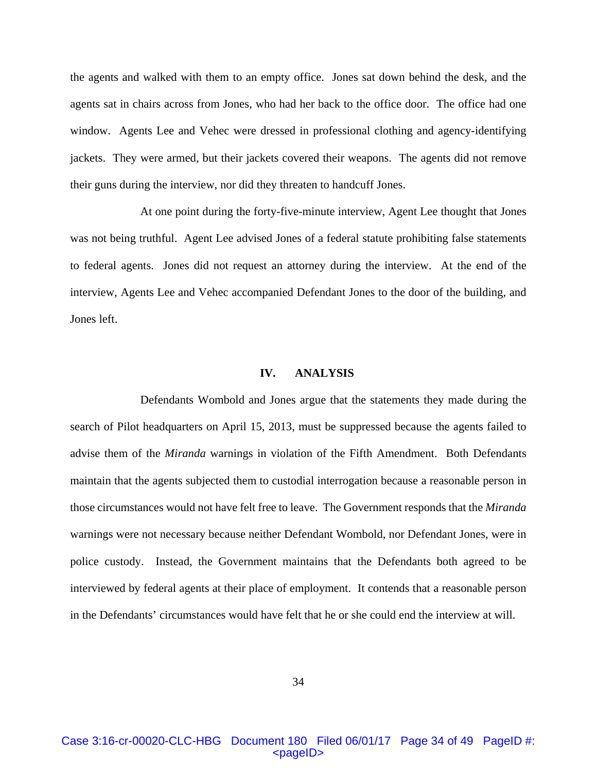the agents and walked with them to an empty office. Jones sat down behind the desk, and the agents sat in chairs across from Jones, who had her back to the office door. The office had one window. Agents Lee and Vehec were dressed in professional clothing and agency-identifying jackets. They were armed, but their jackets covered their weapons. The agents did not remove their guns during the interview, nor did they threaten to handcuff Jones.

 At one point during the forty-five-minute interview, Agent Lee thought that Jones was not being truthful. Agent Lee advised Jones of a federal statute prohibiting false statements to federal agents. Jones did not request an attorney during the interview. At the end of the interview, Agents Lee and Vehec accompanied Defendant Jones to the door of the building, and Jones left.

## **IV. ANALYSIS**

Defendants Wombold and Jones argue that the statements they made during the search of Pilot headquarters on April 15, 2013, must be suppressed because the agents failed to advise them of the *Miranda* warnings in violation of the Fifth Amendment. Both Defendants maintain that the agents subjected them to custodial interrogation because a reasonable person in those circumstances would not have felt free to leave. The Government responds that the *Miranda* warnings were not necessary because neither Defendant Wombold, nor Defendant Jones, were in police custody. Instead, the Government maintains that the Defendants both agreed to be interviewed by federal agents at their place of employment. It contends that a reasonable person in the Defendants' circumstances would have felt that he or she could end the interview at will.

# Case 3:16-cr-00020-CLC-HBG Document 180 Filed 06/01/17 Page 34 of 49 PageID #: <pageID>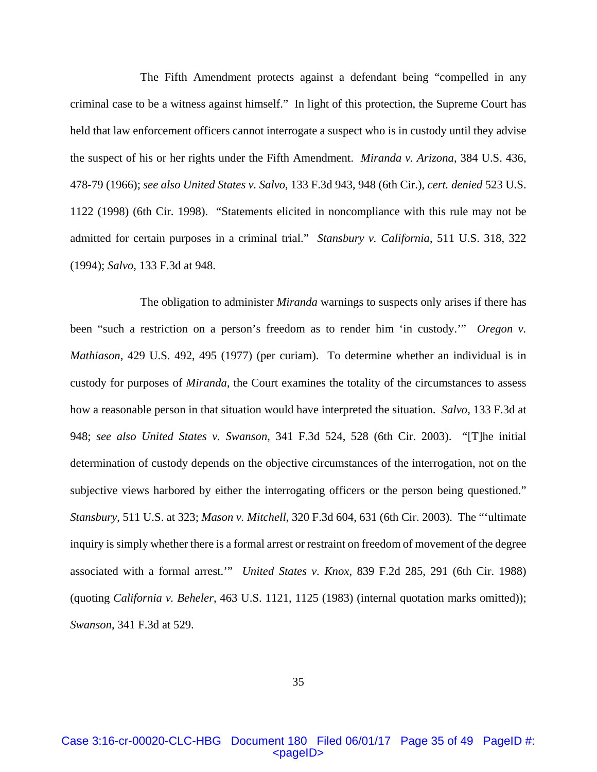The Fifth Amendment protects against a defendant being "compelled in any criminal case to be a witness against himself." In light of this protection, the Supreme Court has held that law enforcement officers cannot interrogate a suspect who is in custody until they advise the suspect of his or her rights under the Fifth Amendment. *Miranda v. Arizona*, 384 U.S. 436, 478-79 (1966); *see also United States v. Salvo*, 133 F.3d 943, 948 (6th Cir.), *cert. denied* 523 U.S. 1122 (1998) (6th Cir. 1998). "Statements elicited in noncompliance with this rule may not be admitted for certain purposes in a criminal trial." *Stansbury v. California*, 511 U.S. 318, 322 (1994); *Salvo*, 133 F.3d at 948.

The obligation to administer *Miranda* warnings to suspects only arises if there has been "such a restriction on a person's freedom as to render him 'in custody.'" *Oregon v. Mathiason*, 429 U.S. 492, 495 (1977) (per curiam). To determine whether an individual is in custody for purposes of *Miranda*, the Court examines the totality of the circumstances to assess how a reasonable person in that situation would have interpreted the situation. *Salvo*, 133 F.3d at 948; *see also United States v. Swanson*, 341 F.3d 524, 528 (6th Cir. 2003). "[T]he initial determination of custody depends on the objective circumstances of the interrogation, not on the subjective views harbored by either the interrogating officers or the person being questioned." *Stansbury*, 511 U.S. at 323; *Mason v. Mitchell*, 320 F.3d 604, 631 (6th Cir. 2003). The "'ultimate inquiry is simply whether there is a formal arrest or restraint on freedom of movement of the degree associated with a formal arrest.'" *United States v. Knox*, 839 F.2d 285, 291 (6th Cir. 1988) (quoting *California v. Beheler*, 463 U.S. 1121, 1125 (1983) (internal quotation marks omitted)); *Swanson*, 341 F.3d at 529.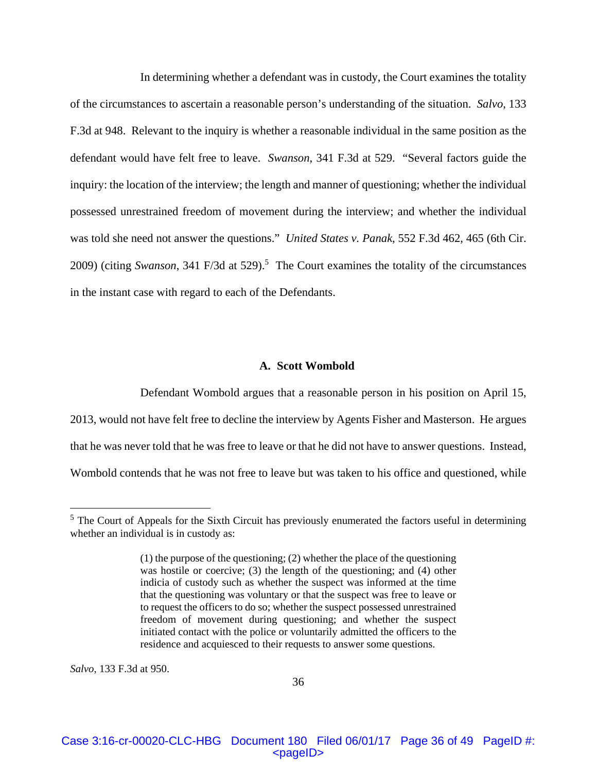In determining whether a defendant was in custody, the Court examines the totality of the circumstances to ascertain a reasonable person's understanding of the situation. *Salvo*, 133 F.3d at 948. Relevant to the inquiry is whether a reasonable individual in the same position as the defendant would have felt free to leave. *Swanson*, 341 F.3d at 529. "Several factors guide the inquiry: the location of the interview; the length and manner of questioning; whether the individual possessed unrestrained freedom of movement during the interview; and whether the individual was told she need not answer the questions." *United States v. Panak*, 552 F.3d 462, 465 (6th Cir. 2009) (citing *Swanson*, 341 F/3d at 529).<sup>5</sup> The Court examines the totality of the circumstances in the instant case with regard to each of the Defendants.

### **A. Scott Wombold**

 Defendant Wombold argues that a reasonable person in his position on April 15, 2013, would not have felt free to decline the interview by Agents Fisher and Masterson. He argues that he was never told that he was free to leave or that he did not have to answer questions. Instead, Wombold contends that he was not free to leave but was taken to his office and questioned, while

*Salvo*, 133 F.3d at 950.

 $\overline{a}$ 

 $<sup>5</sup>$  The Court of Appeals for the Sixth Circuit has previously enumerated the factors useful in determining</sup> whether an individual is in custody as:

<sup>(1)</sup> the purpose of the questioning; (2) whether the place of the questioning was hostile or coercive; (3) the length of the questioning; and (4) other indicia of custody such as whether the suspect was informed at the time that the questioning was voluntary or that the suspect was free to leave or to request the officers to do so; whether the suspect possessed unrestrained freedom of movement during questioning; and whether the suspect initiated contact with the police or voluntarily admitted the officers to the residence and acquiesced to their requests to answer some questions.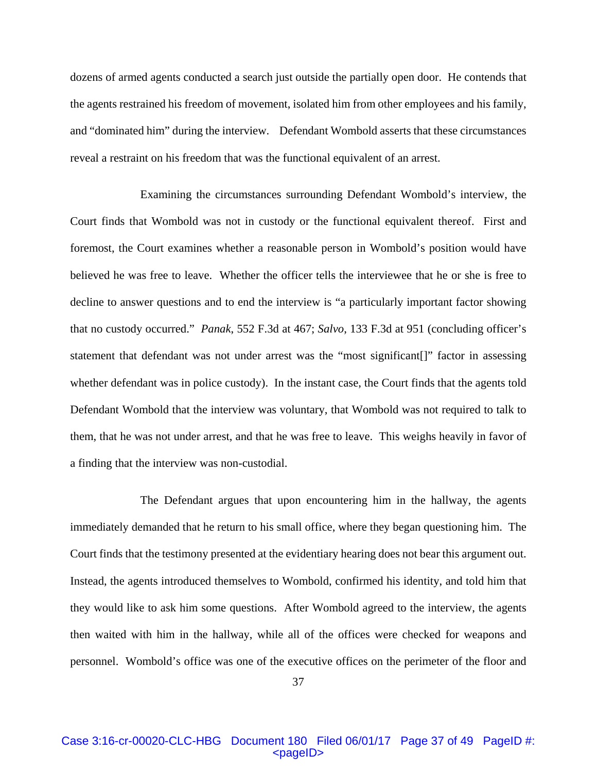dozens of armed agents conducted a search just outside the partially open door. He contends that the agents restrained his freedom of movement, isolated him from other employees and his family, and "dominated him" during the interview. Defendant Wombold asserts that these circumstances reveal a restraint on his freedom that was the functional equivalent of an arrest.

 Examining the circumstances surrounding Defendant Wombold's interview, the Court finds that Wombold was not in custody or the functional equivalent thereof. First and foremost, the Court examines whether a reasonable person in Wombold's position would have believed he was free to leave. Whether the officer tells the interviewee that he or she is free to decline to answer questions and to end the interview is "a particularly important factor showing that no custody occurred." *Panak*, 552 F.3d at 467; *Salvo*, 133 F.3d at 951 (concluding officer's statement that defendant was not under arrest was the "most significant[]" factor in assessing whether defendant was in police custody). In the instant case, the Court finds that the agents told Defendant Wombold that the interview was voluntary, that Wombold was not required to talk to them, that he was not under arrest, and that he was free to leave. This weighs heavily in favor of a finding that the interview was non-custodial.

The Defendant argues that upon encountering him in the hallway, the agents immediately demanded that he return to his small office, where they began questioning him. The Court finds that the testimony presented at the evidentiary hearing does not bear this argument out. Instead, the agents introduced themselves to Wombold, confirmed his identity, and told him that they would like to ask him some questions. After Wombold agreed to the interview, the agents then waited with him in the hallway, while all of the offices were checked for weapons and personnel. Wombold's office was one of the executive offices on the perimeter of the floor and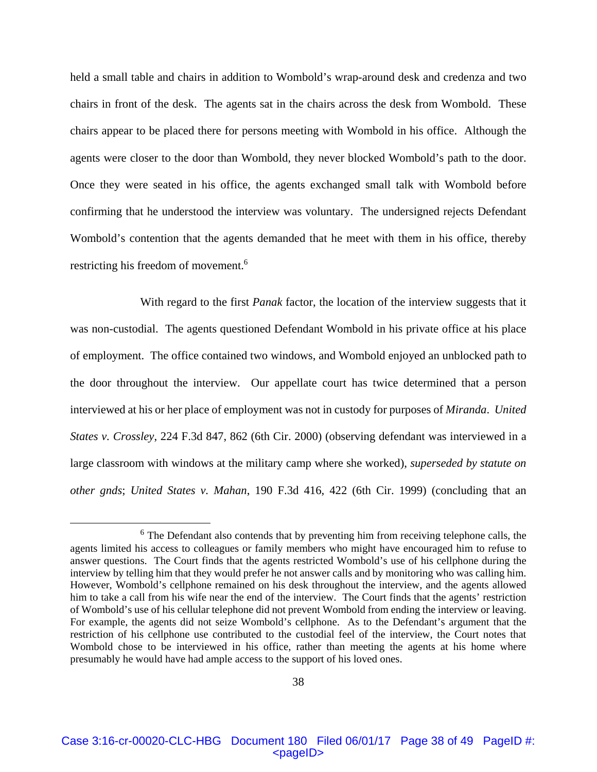held a small table and chairs in addition to Wombold's wrap-around desk and credenza and two chairs in front of the desk. The agents sat in the chairs across the desk from Wombold. These chairs appear to be placed there for persons meeting with Wombold in his office. Although the agents were closer to the door than Wombold, they never blocked Wombold's path to the door. Once they were seated in his office, the agents exchanged small talk with Wombold before confirming that he understood the interview was voluntary. The undersigned rejects Defendant Wombold's contention that the agents demanded that he meet with them in his office, thereby restricting his freedom of movement.<sup>6</sup>

 With regard to the first *Panak* factor, the location of the interview suggests that it was non-custodial. The agents questioned Defendant Wombold in his private office at his place of employment. The office contained two windows, and Wombold enjoyed an unblocked path to the door throughout the interview. Our appellate court has twice determined that a person interviewed at his or her place of employment was not in custody for purposes of *Miranda*. *United States v. Crossley*, 224 F.3d 847, 862 (6th Cir. 2000) (observing defendant was interviewed in a large classroom with windows at the military camp where she worked), *superseded by statute on other gnds*; *United States v. Mahan*, 190 F.3d 416, 422 (6th Cir. 1999) (concluding that an

<sup>&</sup>lt;sup>6</sup> The Defendant also contends that by preventing him from receiving telephone calls, the agents limited his access to colleagues or family members who might have encouraged him to refuse to answer questions. The Court finds that the agents restricted Wombold's use of his cellphone during the interview by telling him that they would prefer he not answer calls and by monitoring who was calling him. However, Wombold's cellphone remained on his desk throughout the interview, and the agents allowed him to take a call from his wife near the end of the interview. The Court finds that the agents' restriction of Wombold's use of his cellular telephone did not prevent Wombold from ending the interview or leaving. For example, the agents did not seize Wombold's cellphone. As to the Defendant's argument that the restriction of his cellphone use contributed to the custodial feel of the interview, the Court notes that Wombold chose to be interviewed in his office, rather than meeting the agents at his home where presumably he would have had ample access to the support of his loved ones.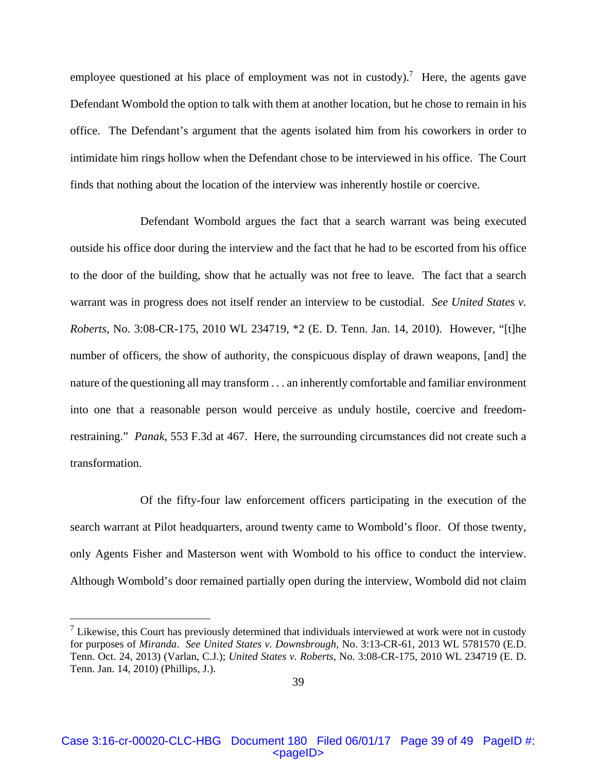employee questioned at his place of employment was not in custody).<sup>7</sup> Here, the agents gave Defendant Wombold the option to talk with them at another location, but he chose to remain in his office. The Defendant's argument that the agents isolated him from his coworkers in order to intimidate him rings hollow when the Defendant chose to be interviewed in his office. The Court finds that nothing about the location of the interview was inherently hostile or coercive.

 Defendant Wombold argues the fact that a search warrant was being executed outside his office door during the interview and the fact that he had to be escorted from his office to the door of the building, show that he actually was not free to leave. The fact that a search warrant was in progress does not itself render an interview to be custodial. *See United States v. Roberts*, No. 3:08-CR-175, 2010 WL 234719, \*2 (E. D. Tenn. Jan. 14, 2010). However, "[t]he number of officers, the show of authority, the conspicuous display of drawn weapons, [and] the nature of the questioning all may transform . . . an inherently comfortable and familiar environment into one that a reasonable person would perceive as unduly hostile, coercive and freedomrestraining." *Panak*, 553 F.3d at 467. Here, the surrounding circumstances did not create such a transformation.

 Of the fifty-four law enforcement officers participating in the execution of the search warrant at Pilot headquarters, around twenty came to Wombold's floor. Of those twenty, only Agents Fisher and Masterson went with Wombold to his office to conduct the interview. Although Wombold's door remained partially open during the interview, Wombold did not claim

 $\overline{a}$ 

 $<sup>7</sup>$  Likewise, this Court has previously determined that individuals interviewed at work were not in custody</sup> for purposes of *Miranda*. *See United States v. Downsbrough*, No. 3:13-CR-61, 2013 WL 5781570 (E.D. Tenn. Oct. 24, 2013) (Varlan, C.J.); *United States v. Roberts*, No. 3:08-CR-175, 2010 WL 234719 (E. D. Tenn. Jan. 14, 2010) (Phillips, J.).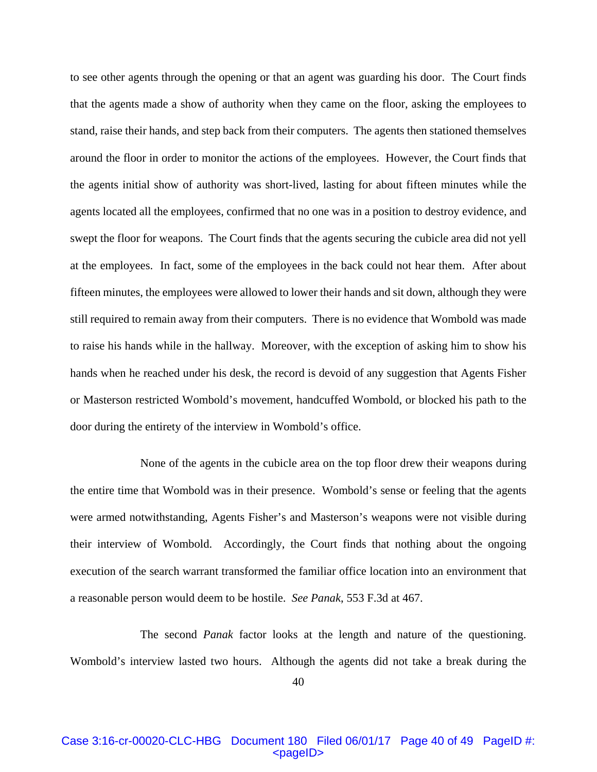to see other agents through the opening or that an agent was guarding his door. The Court finds that the agents made a show of authority when they came on the floor, asking the employees to stand, raise their hands, and step back from their computers. The agents then stationed themselves around the floor in order to monitor the actions of the employees. However, the Court finds that the agents initial show of authority was short-lived, lasting for about fifteen minutes while the agents located all the employees, confirmed that no one was in a position to destroy evidence, and swept the floor for weapons. The Court finds that the agents securing the cubicle area did not yell at the employees. In fact, some of the employees in the back could not hear them. After about fifteen minutes, the employees were allowed to lower their hands and sit down, although they were still required to remain away from their computers. There is no evidence that Wombold was made to raise his hands while in the hallway. Moreover, with the exception of asking him to show his hands when he reached under his desk, the record is devoid of any suggestion that Agents Fisher or Masterson restricted Wombold's movement, handcuffed Wombold, or blocked his path to the door during the entirety of the interview in Wombold's office.

 None of the agents in the cubicle area on the top floor drew their weapons during the entire time that Wombold was in their presence. Wombold's sense or feeling that the agents were armed notwithstanding, Agents Fisher's and Masterson's weapons were not visible during their interview of Wombold. Accordingly, the Court finds that nothing about the ongoing execution of the search warrant transformed the familiar office location into an environment that a reasonable person would deem to be hostile. *See Panak*, 553 F.3d at 467.

 The second *Panak* factor looks at the length and nature of the questioning. Wombold's interview lasted two hours. Although the agents did not take a break during the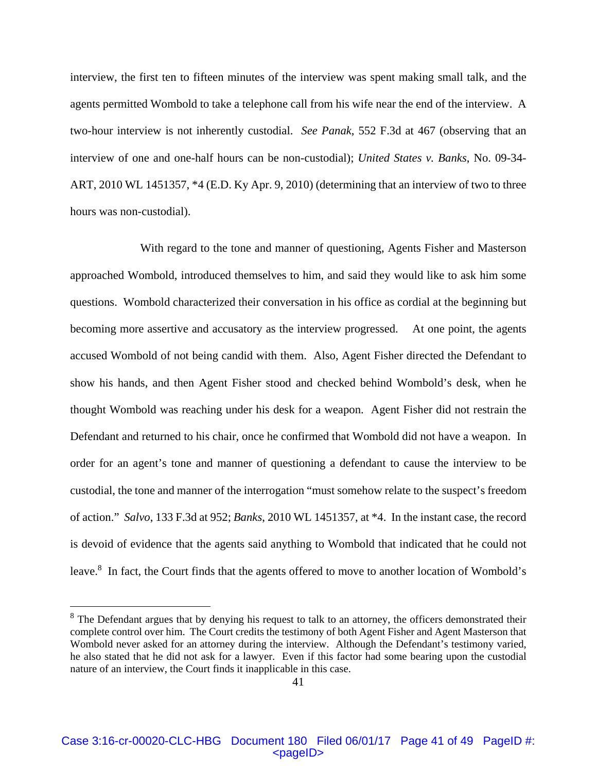interview, the first ten to fifteen minutes of the interview was spent making small talk, and the agents permitted Wombold to take a telephone call from his wife near the end of the interview. A two-hour interview is not inherently custodial. *See Panak*, 552 F.3d at 467 (observing that an interview of one and one-half hours can be non-custodial); *United States v. Banks*, No. 09-34- ART, 2010 WL 1451357, \*4 (E.D. Ky Apr. 9, 2010) (determining that an interview of two to three hours was non-custodial).

 With regard to the tone and manner of questioning, Agents Fisher and Masterson approached Wombold, introduced themselves to him, and said they would like to ask him some questions. Wombold characterized their conversation in his office as cordial at the beginning but becoming more assertive and accusatory as the interview progressed. At one point, the agents accused Wombold of not being candid with them. Also, Agent Fisher directed the Defendant to show his hands, and then Agent Fisher stood and checked behind Wombold's desk, when he thought Wombold was reaching under his desk for a weapon. Agent Fisher did not restrain the Defendant and returned to his chair, once he confirmed that Wombold did not have a weapon. In order for an agent's tone and manner of questioning a defendant to cause the interview to be custodial, the tone and manner of the interrogation "must somehow relate to the suspect's freedom of action." *Salvo*, 133 F.3d at 952; *Banks*, 2010 WL 1451357, at \*4. In the instant case, the record is devoid of evidence that the agents said anything to Wombold that indicated that he could not leave.<sup>8</sup> In fact, the Court finds that the agents offered to move to another location of Wombold's

 $\overline{a}$ 

<sup>&</sup>lt;sup>8</sup> The Defendant argues that by denying his request to talk to an attorney, the officers demonstrated their complete control over him. The Court credits the testimony of both Agent Fisher and Agent Masterson that Wombold never asked for an attorney during the interview. Although the Defendant's testimony varied, he also stated that he did not ask for a lawyer. Even if this factor had some bearing upon the custodial nature of an interview, the Court finds it inapplicable in this case.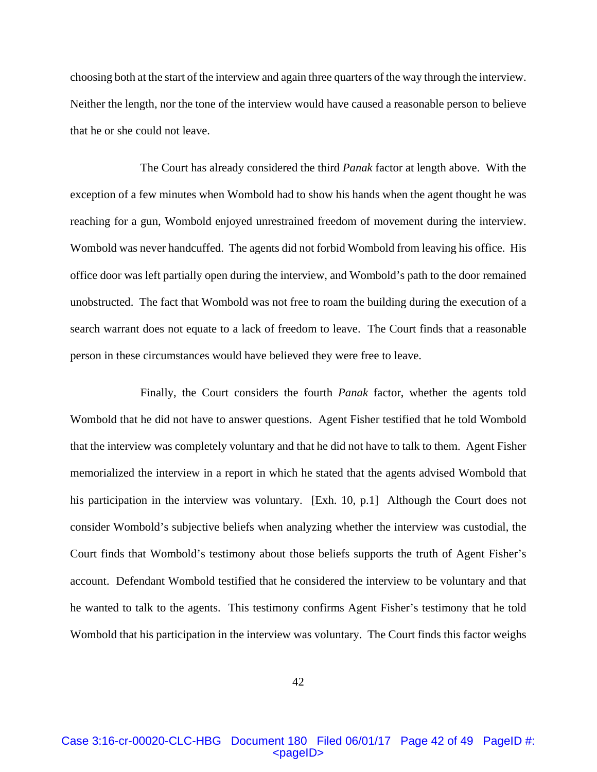choosing both at the start of the interview and again three quarters of the way through the interview. Neither the length, nor the tone of the interview would have caused a reasonable person to believe that he or she could not leave.

 The Court has already considered the third *Panak* factor at length above. With the exception of a few minutes when Wombold had to show his hands when the agent thought he was reaching for a gun, Wombold enjoyed unrestrained freedom of movement during the interview. Wombold was never handcuffed. The agents did not forbid Wombold from leaving his office. His office door was left partially open during the interview, and Wombold's path to the door remained unobstructed. The fact that Wombold was not free to roam the building during the execution of a search warrant does not equate to a lack of freedom to leave. The Court finds that a reasonable person in these circumstances would have believed they were free to leave.

 Finally, the Court considers the fourth *Panak* factor, whether the agents told Wombold that he did not have to answer questions. Agent Fisher testified that he told Wombold that the interview was completely voluntary and that he did not have to talk to them. Agent Fisher memorialized the interview in a report in which he stated that the agents advised Wombold that his participation in the interview was voluntary. [Exh. 10, p.1] Although the Court does not consider Wombold's subjective beliefs when analyzing whether the interview was custodial, the Court finds that Wombold's testimony about those beliefs supports the truth of Agent Fisher's account. Defendant Wombold testified that he considered the interview to be voluntary and that he wanted to talk to the agents. This testimony confirms Agent Fisher's testimony that he told Wombold that his participation in the interview was voluntary. The Court finds this factor weighs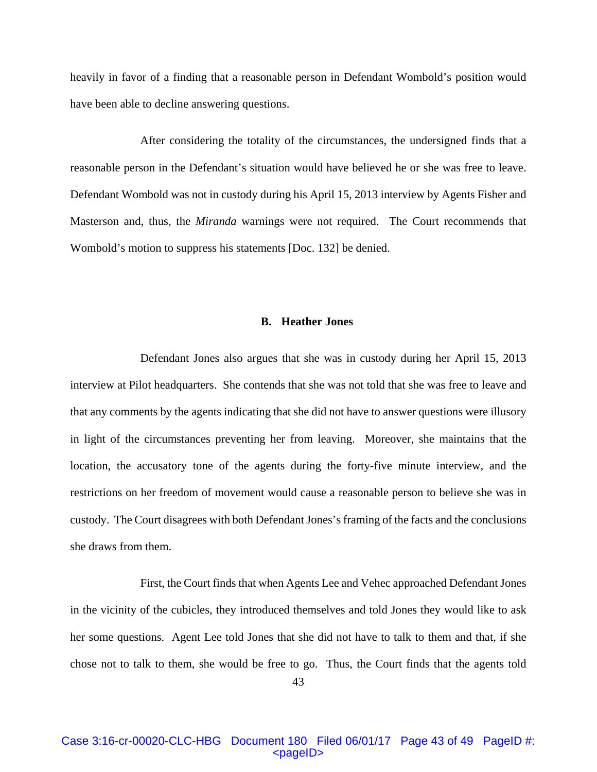heavily in favor of a finding that a reasonable person in Defendant Wombold's position would have been able to decline answering questions.

 After considering the totality of the circumstances, the undersigned finds that a reasonable person in the Defendant's situation would have believed he or she was free to leave. Defendant Wombold was not in custody during his April 15, 2013 interview by Agents Fisher and Masterson and, thus, the *Miranda* warnings were not required. The Court recommends that Wombold's motion to suppress his statements [Doc. 132] be denied.

## **B. Heather Jones**

Defendant Jones also argues that she was in custody during her April 15, 2013 interview at Pilot headquarters. She contends that she was not told that she was free to leave and that any comments by the agents indicating that she did not have to answer questions were illusory in light of the circumstances preventing her from leaving. Moreover, she maintains that the location, the accusatory tone of the agents during the forty-five minute interview, and the restrictions on her freedom of movement would cause a reasonable person to believe she was in custody. The Court disagrees with both Defendant Jones's framing of the facts and the conclusions she draws from them.

 First, the Court finds that when Agents Lee and Vehec approached Defendant Jones in the vicinity of the cubicles, they introduced themselves and told Jones they would like to ask her some questions. Agent Lee told Jones that she did not have to talk to them and that, if she chose not to talk to them, she would be free to go. Thus, the Court finds that the agents told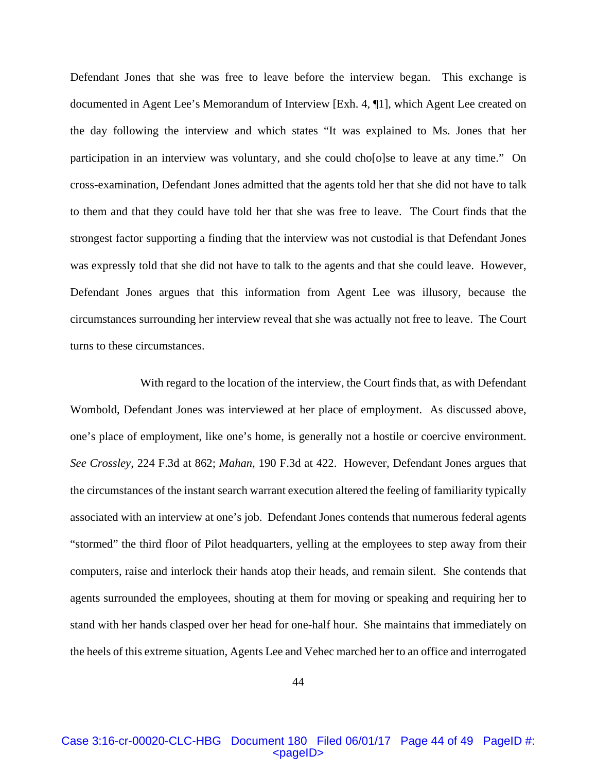Defendant Jones that she was free to leave before the interview began. This exchange is documented in Agent Lee's Memorandum of Interview [Exh. 4, ¶1], which Agent Lee created on the day following the interview and which states "It was explained to Ms. Jones that her participation in an interview was voluntary, and she could cho[o]se to leave at any time." On cross-examination, Defendant Jones admitted that the agents told her that she did not have to talk to them and that they could have told her that she was free to leave. The Court finds that the strongest factor supporting a finding that the interview was not custodial is that Defendant Jones was expressly told that she did not have to talk to the agents and that she could leave. However, Defendant Jones argues that this information from Agent Lee was illusory, because the circumstances surrounding her interview reveal that she was actually not free to leave. The Court turns to these circumstances.

 With regard to the location of the interview, the Court finds that, as with Defendant Wombold, Defendant Jones was interviewed at her place of employment. As discussed above, one's place of employment, like one's home, is generally not a hostile or coercive environment. *See Crossley*, 224 F.3d at 862; *Mahan*, 190 F.3d at 422. However, Defendant Jones argues that the circumstances of the instant search warrant execution altered the feeling of familiarity typically associated with an interview at one's job. Defendant Jones contends that numerous federal agents "stormed" the third floor of Pilot headquarters, yelling at the employees to step away from their computers, raise and interlock their hands atop their heads, and remain silent. She contends that agents surrounded the employees, shouting at them for moving or speaking and requiring her to stand with her hands clasped over her head for one-half hour. She maintains that immediately on the heels of this extreme situation, Agents Lee and Vehec marched her to an office and interrogated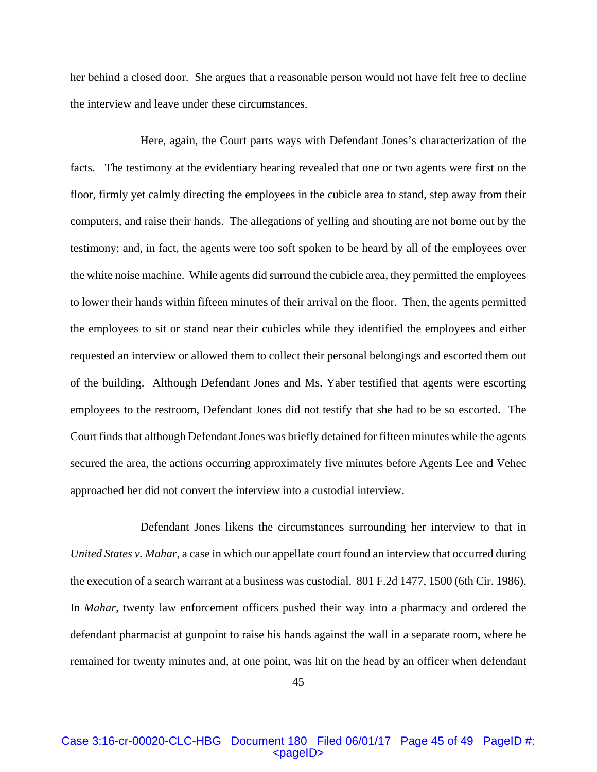her behind a closed door. She argues that a reasonable person would not have felt free to decline the interview and leave under these circumstances.

 Here, again, the Court parts ways with Defendant Jones's characterization of the facts. The testimony at the evidentiary hearing revealed that one or two agents were first on the floor, firmly yet calmly directing the employees in the cubicle area to stand, step away from their computers, and raise their hands. The allegations of yelling and shouting are not borne out by the testimony; and, in fact, the agents were too soft spoken to be heard by all of the employees over the white noise machine. While agents did surround the cubicle area, they permitted the employees to lower their hands within fifteen minutes of their arrival on the floor. Then, the agents permitted the employees to sit or stand near their cubicles while they identified the employees and either requested an interview or allowed them to collect their personal belongings and escorted them out of the building. Although Defendant Jones and Ms. Yaber testified that agents were escorting employees to the restroom, Defendant Jones did not testify that she had to be so escorted. The Court finds that although Defendant Jones was briefly detained for fifteen minutes while the agents secured the area, the actions occurring approximately five minutes before Agents Lee and Vehec approached her did not convert the interview into a custodial interview.

 Defendant Jones likens the circumstances surrounding her interview to that in *United States v. Mahar*, a case in which our appellate court found an interview that occurred during the execution of a search warrant at a business was custodial. 801 F.2d 1477, 1500 (6th Cir. 1986). In *Mahar*, twenty law enforcement officers pushed their way into a pharmacy and ordered the defendant pharmacist at gunpoint to raise his hands against the wall in a separate room, where he remained for twenty minutes and, at one point, was hit on the head by an officer when defendant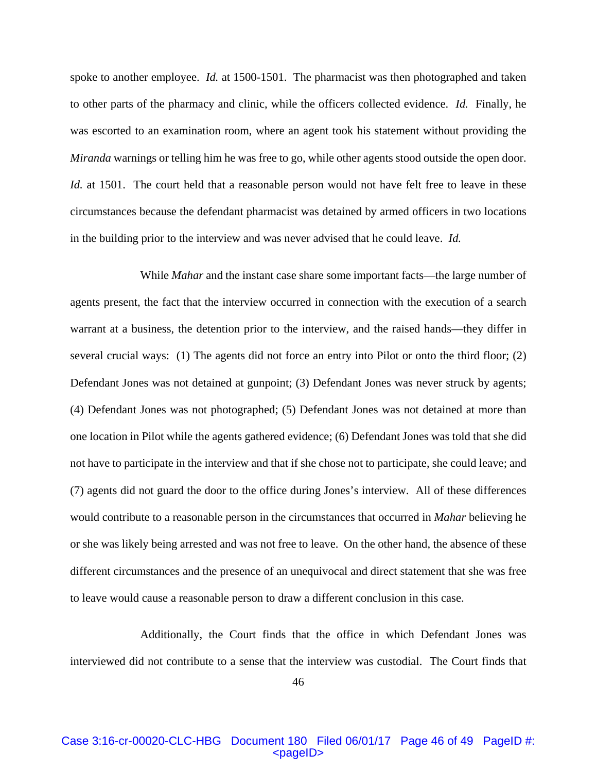spoke to another employee. *Id.* at 1500-1501. The pharmacist was then photographed and taken to other parts of the pharmacy and clinic, while the officers collected evidence. *Id.* Finally, he was escorted to an examination room, where an agent took his statement without providing the *Miranda* warnings or telling him he was free to go, while other agents stood outside the open door. *Id.* at 1501. The court held that a reasonable person would not have felt free to leave in these circumstances because the defendant pharmacist was detained by armed officers in two locations in the building prior to the interview and was never advised that he could leave. *Id.*

 While *Mahar* and the instant case share some important facts—the large number of agents present, the fact that the interview occurred in connection with the execution of a search warrant at a business, the detention prior to the interview, and the raised hands—they differ in several crucial ways: (1) The agents did not force an entry into Pilot or onto the third floor; (2) Defendant Jones was not detained at gunpoint; (3) Defendant Jones was never struck by agents; (4) Defendant Jones was not photographed; (5) Defendant Jones was not detained at more than one location in Pilot while the agents gathered evidence; (6) Defendant Jones was told that she did not have to participate in the interview and that if she chose not to participate, she could leave; and (7) agents did not guard the door to the office during Jones's interview. All of these differences would contribute to a reasonable person in the circumstances that occurred in *Mahar* believing he or she was likely being arrested and was not free to leave. On the other hand, the absence of these different circumstances and the presence of an unequivocal and direct statement that she was free to leave would cause a reasonable person to draw a different conclusion in this case.

 Additionally, the Court finds that the office in which Defendant Jones was interviewed did not contribute to a sense that the interview was custodial. The Court finds that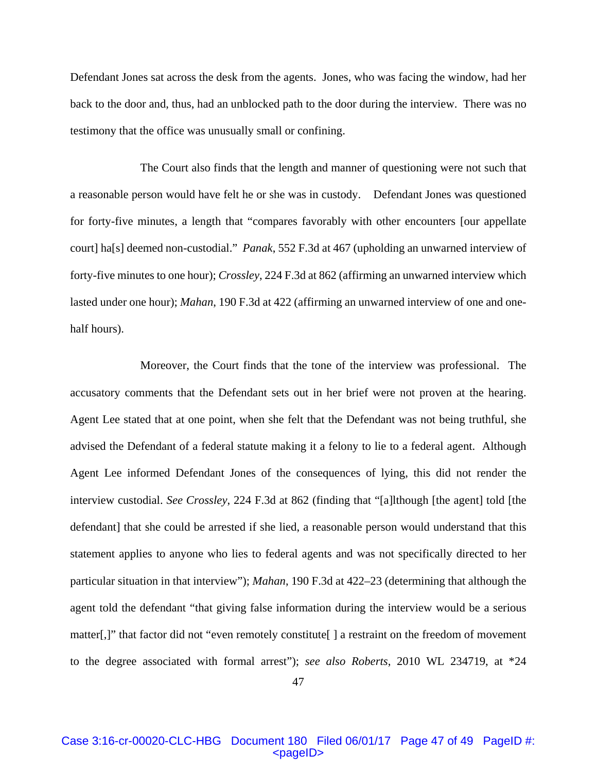Defendant Jones sat across the desk from the agents. Jones, who was facing the window, had her back to the door and, thus, had an unblocked path to the door during the interview. There was no testimony that the office was unusually small or confining.

 The Court also finds that the length and manner of questioning were not such that a reasonable person would have felt he or she was in custody. Defendant Jones was questioned for forty-five minutes, a length that "compares favorably with other encounters [our appellate court] ha[s] deemed non-custodial." *Panak*, 552 F.3d at 467 (upholding an unwarned interview of forty-five minutes to one hour); *Crossley*, 224 F.3d at 862 (affirming an unwarned interview which lasted under one hour); *Mahan*, 190 F.3d at 422 (affirming an unwarned interview of one and onehalf hours).

 Moreover, the Court finds that the tone of the interview was professional. The accusatory comments that the Defendant sets out in her brief were not proven at the hearing. Agent Lee stated that at one point, when she felt that the Defendant was not being truthful, she advised the Defendant of a federal statute making it a felony to lie to a federal agent. Although Agent Lee informed Defendant Jones of the consequences of lying, this did not render the interview custodial. *See Crossley*, 224 F.3d at 862 (finding that "[a]lthough [the agent] told [the defendant] that she could be arrested if she lied, a reasonable person would understand that this statement applies to anyone who lies to federal agents and was not specifically directed to her particular situation in that interview"); *Mahan*, 190 F.3d at 422–23 (determining that although the agent told the defendant "that giving false information during the interview would be a serious matter[,]" that factor did not "even remotely constitute[] a restraint on the freedom of movement to the degree associated with formal arrest"); *see also Roberts*, 2010 WL 234719, at \*24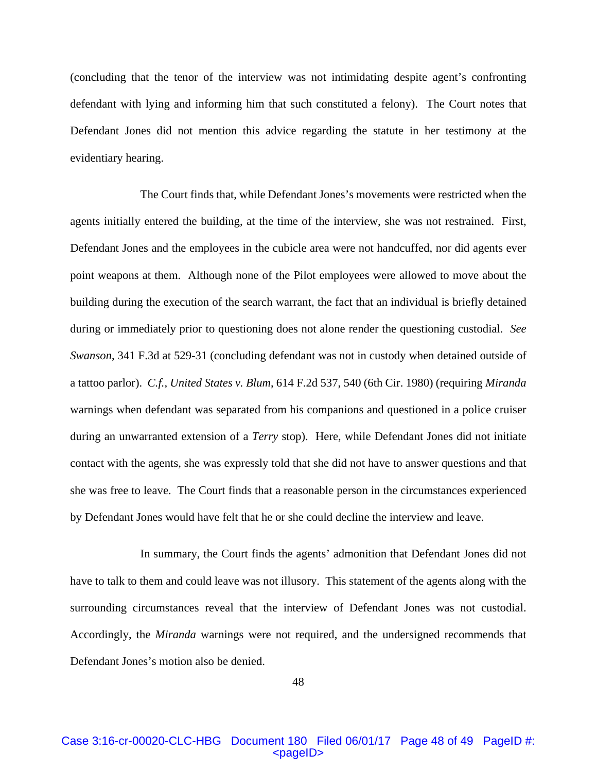(concluding that the tenor of the interview was not intimidating despite agent's confronting defendant with lying and informing him that such constituted a felony). The Court notes that Defendant Jones did not mention this advice regarding the statute in her testimony at the evidentiary hearing.

 The Court finds that, while Defendant Jones's movements were restricted when the agents initially entered the building, at the time of the interview, she was not restrained. First, Defendant Jones and the employees in the cubicle area were not handcuffed, nor did agents ever point weapons at them. Although none of the Pilot employees were allowed to move about the building during the execution of the search warrant, the fact that an individual is briefly detained during or immediately prior to questioning does not alone render the questioning custodial. *See Swanson*, 341 F.3d at 529-31 (concluding defendant was not in custody when detained outside of a tattoo parlor). *C.f., United States v. Blum*, 614 F.2d 537, 540 (6th Cir. 1980) (requiring *Miranda*  warnings when defendant was separated from his companions and questioned in a police cruiser during an unwarranted extension of a *Terry* stop). Here, while Defendant Jones did not initiate contact with the agents, she was expressly told that she did not have to answer questions and that she was free to leave. The Court finds that a reasonable person in the circumstances experienced by Defendant Jones would have felt that he or she could decline the interview and leave.

 In summary, the Court finds the agents' admonition that Defendant Jones did not have to talk to them and could leave was not illusory. This statement of the agents along with the surrounding circumstances reveal that the interview of Defendant Jones was not custodial. Accordingly, the *Miranda* warnings were not required, and the undersigned recommends that Defendant Jones's motion also be denied.